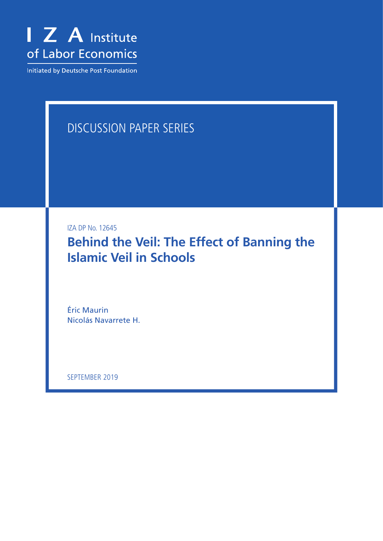

Initiated by Deutsche Post Foundation

# DISCUSSION PAPER SERIES

IZA DP No. 12645

**Behind the Veil: The Effect of Banning the Islamic Veil in Schools**

Éric Maurin Nicolás Navarrete H.

SEPTEMBER 2019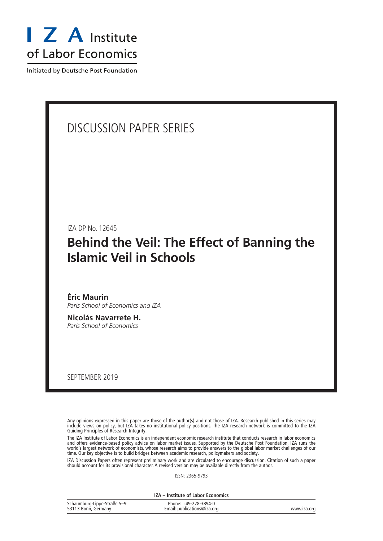

Initiated by Deutsche Post Foundation

## DISCUSSION PAPER SERIES

IZA DP No. 12645

## **Behind the Veil: The Effect of Banning the Islamic Veil in Schools**

**Éric Maurin** *Paris School of Economics and IZA*

**Nicolás Navarrete H.** *Paris School of Economics*

SEPTEMBER 2019

Any opinions expressed in this paper are those of the author(s) and not those of IZA. Research published in this series may include views on policy, but IZA takes no institutional policy positions. The IZA research network is committed to the IZA Guiding Principles of Research Integrity.

The IZA Institute of Labor Economics is an independent economic research institute that conducts research in labor economics and offers evidence-based policy advice on labor market issues. Supported by the Deutsche Post Foundation, IZA runs the world's largest network of economists, whose research aims to provide answers to the global labor market challenges of our time. Our key objective is to build bridges between academic research, policymakers and society.

IZA Discussion Papers often represent preliminary work and are circulated to encourage discussion. Citation of such a paper should account for its provisional character. A revised version may be available directly from the author.

ISSN: 2365-9793

**IZA – Institute of Labor Economics**

| Schaumburg-Lippe-Straße 5-9 | Phone: +49-228-3894-0       |             |
|-----------------------------|-----------------------------|-------------|
| 53113 Bonn, Germany         | Email: publications@iza.org | www.iza.org |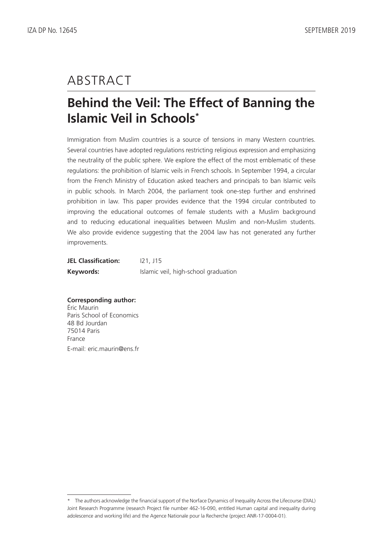# ABSTRACT

## **Behind the Veil: The Effect of Banning the Islamic Veil in Schools\***

Immigration from Muslim countries is a source of tensions in many Western countries. Several countries have adopted regulations restricting religious expression and emphasizing the neutrality of the public sphere. We explore the effect of the most emblematic of these regulations: the prohibition of Islamic veils in French schools. In September 1994, a circular from the French Ministry of Education asked teachers and principals to ban Islamic veils in public schools. In March 2004, the parliament took one-step further and enshrined prohibition in law. This paper provides evidence that the 1994 circular contributed to improving the educational outcomes of female students with a Muslim background and to reducing educational inequalities between Muslim and non-Muslim students. We also provide evidence suggesting that the 2004 law has not generated any further improvements.

| <b>JEL Classification:</b> | $121.$ J15                           |  |  |  |
|----------------------------|--------------------------------------|--|--|--|
| Keywords:                  | Islamic veil, high-school graduation |  |  |  |

#### **Corresponding author:**

Éric Maurin Paris School of Economics 48 Bd Jourdan 75014 Paris France E-mail: eric.maurin@ens.fr

<sup>\*</sup> The authors acknowledge the financial support of the Norface Dynamics of Inequality Across the Lifecourse (DIAL) Joint Research Programme (research Project file number 462-16-090, entitled Human capital and inequality during adolescence and working life) and the Agence Nationale pour la Recherche (project ANR-17-0004-01).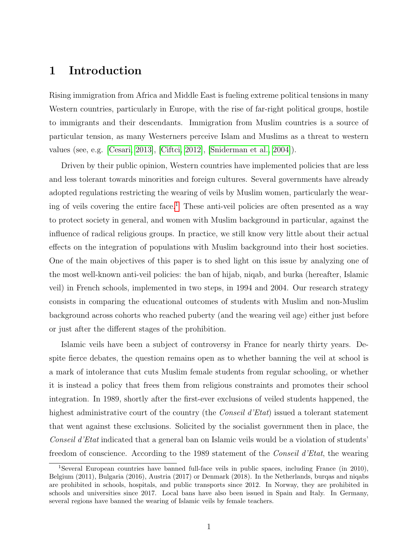## 1 Introduction

Rising immigration from Africa and Middle East is fueling extreme political tensions in many Western countries, particularly in Europe, with the rise of far-right political groups, hostile to immigrants and their descendants. Immigration from Muslim countries is a source of particular tension, as many Westerners perceive Islam and Muslims as a threat to western values (see, e.g. [\[Cesari, 2013\]](#page-24-0), [\[Ciftci, 2012\]](#page-24-1), [\[Sniderman et al., 2004\]](#page-26-0)).

Driven by their public opinion, Western countries have implemented policies that are less and less tolerant towards minorities and foreign cultures. Several governments have already adopted regulations restricting the wearing of veils by Muslim women, particularly the wear-ing of veils covering the entire face.<sup>[1](#page-3-0)</sup> These anti-veil policies are often presented as a way to protect society in general, and women with Muslim background in particular, against the influence of radical religious groups. In practice, we still know very little about their actual effects on the integration of populations with Muslim background into their host societies. One of the main objectives of this paper is to shed light on this issue by analyzing one of the most well-known anti-veil policies: the ban of hijab, niqab, and burka (hereafter, Islamic veil) in French schools, implemented in two steps, in 1994 and 2004. Our research strategy consists in comparing the educational outcomes of students with Muslim and non-Muslim background across cohorts who reached puberty (and the wearing veil age) either just before or just after the different stages of the prohibition.

Islamic veils have been a subject of controversy in France for nearly thirty years. Despite fierce debates, the question remains open as to whether banning the veil at school is a mark of intolerance that cuts Muslim female students from regular schooling, or whether it is instead a policy that frees them from religious constraints and promotes their school integration. In 1989, shortly after the first-ever exclusions of veiled students happened, the highest administrative court of the country (the *Conseil d'Etat*) issued a tolerant statement that went against these exclusions. Solicited by the socialist government then in place, the Conseil d'Etat indicated that a general ban on Islamic veils would be a violation of students' freedom of conscience. According to the 1989 statement of the Conseil d'Etat, the wearing

<span id="page-3-0"></span><sup>1</sup>Several European countries have banned full-face veils in public spaces, including France (in 2010), Belgium (2011), Bulgaria (2016), Austria (2017) or Denmark (2018). In the Netherlands, burqas and niqabs are prohibited in schools, hospitals, and public transports since 2012. In Norway, they are prohibited in schools and universities since 2017. Local bans have also been issued in Spain and Italy. In Germany, several regions have banned the wearing of Islamic veils by female teachers.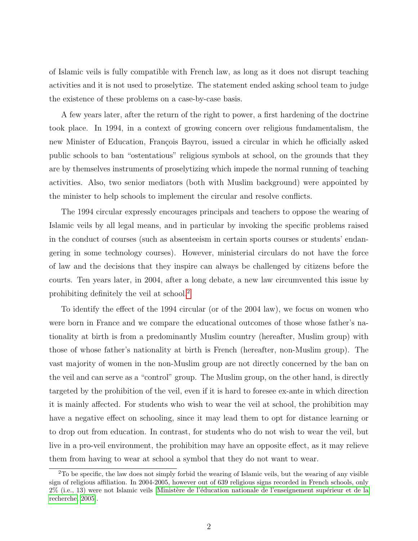of Islamic veils is fully compatible with French law, as long as it does not disrupt teaching activities and it is not used to proselytize. The statement ended asking school team to judge the existence of these problems on a case-by-case basis.

A few years later, after the return of the right to power, a first hardening of the doctrine took place. In 1994, in a context of growing concern over religious fundamentalism, the new Minister of Education, François Bayrou, issued a circular in which he officially asked public schools to ban "ostentatious" religious symbols at school, on the grounds that they are by themselves instruments of proselytizing which impede the normal running of teaching activities. Also, two senior mediators (both with Muslim background) were appointed by the minister to help schools to implement the circular and resolve conflicts.

The 1994 circular expressly encourages principals and teachers to oppose the wearing of Islamic veils by all legal means, and in particular by invoking the specific problems raised in the conduct of courses (such as absenteeism in certain sports courses or students' endangering in some technology courses). However, ministerial circulars do not have the force of law and the decisions that they inspire can always be challenged by citizens before the courts. Ten years later, in 2004, after a long debate, a new law circumvented this issue by prohibiting definitely the veil at school.[2](#page-4-0)

To identify the effect of the 1994 circular (or of the 2004 law), we focus on women who were born in France and we compare the educational outcomes of those whose father's nationality at birth is from a predominantly Muslim country (hereafter, Muslim group) with those of whose father's nationality at birth is French (hereafter, non-Muslim group). The vast majority of women in the non-Muslim group are not directly concerned by the ban on the veil and can serve as a "control" group. The Muslim group, on the other hand, is directly targeted by the prohibition of the veil, even if it is hard to foresee ex-ante in which direction it is mainly affected. For students who wish to wear the veil at school, the prohibition may have a negative effect on schooling, since it may lead them to opt for distance learning or to drop out from education. In contrast, for students who do not wish to wear the veil, but live in a pro-veil environment, the prohibition may have an opposite effect, as it may relieve them from having to wear at school a symbol that they do not want to wear.

<span id="page-4-0"></span><sup>&</sup>lt;sup>2</sup>To be specific, the law does not simply forbid the wearing of Islamic veils, but the wearing of any visible sign of religious affiliation. In 2004-2005, however out of 639 religious signs recorded in French schools, only 2% (i.e., 13) were not Islamic veils [Ministère de l'éducation nationale de l'enseignement supérieur et de la [recherche, 2005\]](#page-25-0).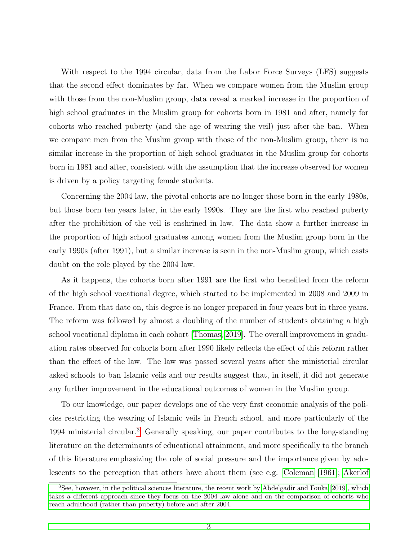With respect to the 1994 circular, data from the Labor Force Surveys (LFS) suggests that the second effect dominates by far. When we compare women from the Muslim group with those from the non-Muslim group, data reveal a marked increase in the proportion of high school graduates in the Muslim group for cohorts born in 1981 and after, namely for cohorts who reached puberty (and the age of wearing the veil) just after the ban. When we compare men from the Muslim group with those of the non-Muslim group, there is no similar increase in the proportion of high school graduates in the Muslim group for cohorts born in 1981 and after, consistent with the assumption that the increase observed for women is driven by a policy targeting female students.

Concerning the 2004 law, the pivotal cohorts are no longer those born in the early 1980s, but those born ten years later, in the early 1990s. They are the first who reached puberty after the prohibition of the veil is enshrined in law. The data show a further increase in the proportion of high school graduates among women from the Muslim group born in the early 1990s (after 1991), but a similar increase is seen in the non-Muslim group, which casts doubt on the role played by the 2004 law.

As it happens, the cohorts born after 1991 are the first who benefited from the reform of the high school vocational degree, which started to be implemented in 2008 and 2009 in France. From that date on, this degree is no longer prepared in four years but in three years. The reform was followed by almost a doubling of the number of students obtaining a high school vocational diploma in each cohort [\[Thomas, 2019\]](#page-26-1). The overall improvement in graduation rates observed for cohorts born after 1990 likely reflects the effect of this reform rather than the effect of the law. The law was passed several years after the ministerial circular asked schools to ban Islamic veils and our results suggest that, in itself, it did not generate any further improvement in the educational outcomes of women in the Muslim group.

To our knowledge, our paper develops one of the very first economic analysis of the policies restricting the wearing of Islamic veils in French school, and more particularly of the 1994 ministerial circular.[3](#page-5-0) Generally speaking, our paper contributes to the long-standing literature on the determinants of educational attainment, and more specifically to the branch of this literature emphasizing the role of social pressure and the importance given by adolescents to the perception that others have about them (see e.g. [Coleman](#page-25-1) [\[1961\]](#page-25-1); [Akerlof](#page-24-2)

<span id="page-5-0"></span><sup>&</sup>lt;sup>3</sup>[See, however, in the political sciences literature, the recent work by Abdelgadir and Fouka \[2019\], which](#page-24-2) [takes a different approach since they focus on the 2004 law alone and on the comparison of cohorts who](#page-24-2) [reach adulthood \(rather than puberty\) before and after 2004.](#page-24-2)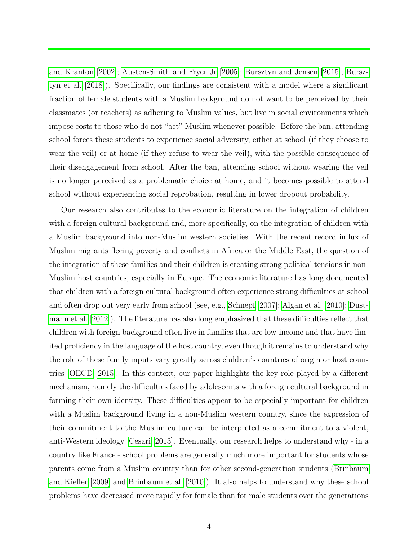[and Kranton](#page-24-2) [\[2002\]](#page-24-2); [Austen-Smith and Fryer Jr](#page-24-4) [\[2005\]](#page-24-4); [Bursztyn and Jensen](#page-24-5) [\[2015\]](#page-24-5); [Bursz](#page-24-6)[tyn et al.](#page-24-6) [\[2018\]](#page-24-6)). Specifically, our findings are consistent with a model where a significant fraction of female students with a Muslim background do not want to be perceived by their classmates (or teachers) as adhering to Muslim values, but live in social environments which impose costs to those who do not "act" Muslim whenever possible. Before the ban, attending school forces these students to experience social adversity, either at school (if they choose to wear the veil) or at home (if they refuse to wear the veil), with the possible consequence of their disengagement from school. After the ban, attending school without wearing the veil is no longer perceived as a problematic choice at home, and it becomes possible to attend school without experiencing social reprobation, resulting in lower dropout probability.

Our research also contributes to the economic literature on the integration of children with a foreign cultural background and, more specifically, on the integration of children with a Muslim background into non-Muslim western societies. With the recent record influx of Muslim migrants fleeing poverty and conflicts in Africa or the Middle East, the question of the integration of these families and their children is creating strong political tensions in non-Muslim host countries, especially in Europe. The economic literature has long documented that children with a foreign cultural background often experience strong difficulties at school and often drop out very early from school (see, e.g., [Schnepf](#page-25-2) [\[2007\]](#page-25-2); [Algan et al.](#page-24-7) [\[2010\]](#page-24-7); [Dust](#page-25-3)[mann et al.](#page-25-3) [\[2012\]](#page-25-3)). The literature has also long emphasized that these difficulties reflect that children with foreign background often live in families that are low-income and that have limited proficiency in the language of the host country, even though it remains to understand why the role of these family inputs vary greatly across children's countries of origin or host countries [\[OECD, 2015\]](#page-25-4). In this context, our paper highlights the key role played by a different mechanism, namely the difficulties faced by adolescents with a foreign cultural background in forming their own identity. These difficulties appear to be especially important for children with a Muslim background living in a non-Muslim western country, since the expression of their commitment to the Muslim culture can be interpreted as a commitment to a violent, anti-Western ideology [\[Cesari, 2013\]](#page-24-0). Eventually, our research helps to understand why - in a country like France - school problems are generally much more important for students whose parents come from a Muslim country than for other second-generation students [\(Brinbaum](#page-24-8) [and Kieffer](#page-24-8) [\[2009\]](#page-24-8) and [Brinbaum et al.](#page-24-9) [\[2010\]](#page-24-9)). It also helps to understand why these school problems have decreased more rapidly for female than for male students over the generations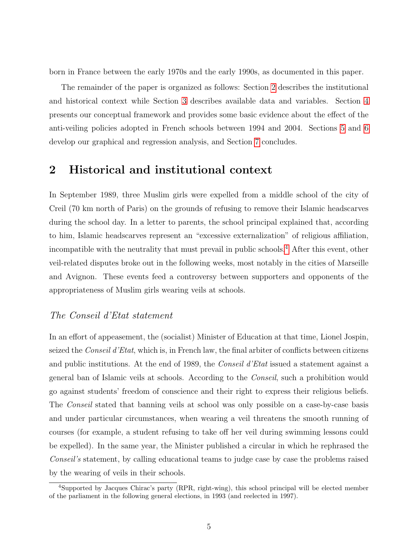born in France between the early 1970s and the early 1990s, as documented in this paper.

The remainder of the paper is organized as follows: Section [2](#page-7-0) describes the institutional and historical context while Section [3](#page-11-0) describes available data and variables. Section [4](#page-13-0) presents our conceptual framework and provides some basic evidence about the effect of the anti-veiling policies adopted in French schools between 1994 and 2004. Sections [5](#page-17-0) and [6](#page-20-0) develop our graphical and regression analysis, and Section [7](#page-22-0) concludes.

## <span id="page-7-0"></span>2 Historical and institutional context

In September 1989, three Muslim girls were expelled from a middle school of the city of Creil (70 km north of Paris) on the grounds of refusing to remove their Islamic headscarves during the school day. In a letter to parents, the school principal explained that, according to him, Islamic headscarves represent an "excessive externalization" of religious affiliation, incompatible with the neutrality that must prevail in public schools.[4](#page-7-1) After this event, other veil-related disputes broke out in the following weeks, most notably in the cities of Marseille and Avignon. These events feed a controversy between supporters and opponents of the appropriateness of Muslim girls wearing veils at schools.

#### The Conseil d'Etat statement

In an effort of appeasement, the (socialist) Minister of Education at that time, Lionel Jospin, seized the *Conseil d'Etat*, which is, in French law, the final arbiter of conflicts between citizens and public institutions. At the end of 1989, the Conseil d'Etat issued a statement against a general ban of Islamic veils at schools. According to the Conseil, such a prohibition would go against students' freedom of conscience and their right to express their religious beliefs. The Conseil stated that banning veils at school was only possible on a case-by-case basis and under particular circumstances, when wearing a veil threatens the smooth running of courses (for example, a student refusing to take off her veil during swimming lessons could be expelled). In the same year, the Minister published a circular in which he rephrased the Conseil's statement, by calling educational teams to judge case by case the problems raised by the wearing of veils in their schools.

<span id="page-7-1"></span><sup>&</sup>lt;sup>4</sup>Supported by Jacques Chirac's party (RPR, right-wing), this school principal will be elected member of the parliament in the following general elections, in 1993 (and reelected in 1997).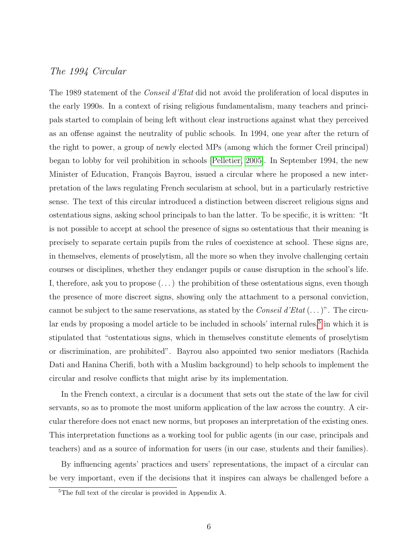#### The 1994 Circular

The 1989 statement of the *Conseil d'Etat* did not avoid the proliferation of local disputes in the early 1990s. In a context of rising religious fundamentalism, many teachers and principals started to complain of being left without clear instructions against what they perceived as an offense against the neutrality of public schools. In 1994, one year after the return of the right to power, a group of newly elected MPs (among which the former Creil principal) began to lobby for veil prohibition in schools [\[Pelletier, 2005\]](#page-25-5). In September 1994, the new Minister of Education, François Bayrou, issued a circular where he proposed a new interpretation of the laws regulating French secularism at school, but in a particularly restrictive sense. The text of this circular introduced a distinction between discreet religious signs and ostentatious signs, asking school principals to ban the latter. To be specific, it is written: "It is not possible to accept at school the presence of signs so ostentatious that their meaning is precisely to separate certain pupils from the rules of coexistence at school. These signs are, in themselves, elements of proselytism, all the more so when they involve challenging certain courses or disciplines, whether they endanger pupils or cause disruption in the school's life. I, therefore, ask you to propose  $(\dots)$  the prohibition of these ostentatious signs, even though the presence of more discreet signs, showing only the attachment to a personal conviction, cannot be subject to the same reservations, as stated by the *Conseil d'Etat*  $(\ldots)$ ". The circu-lar ends by proposing a model article to be included in schools' internal rules,<sup>[5](#page-8-0)</sup> in which it is stipulated that "ostentatious signs, which in themselves constitute elements of proselytism or discrimination, are prohibited". Bayrou also appointed two senior mediators (Rachida Dati and Hanina Cherifi, both with a Muslim background) to help schools to implement the circular and resolve conflicts that might arise by its implementation.

In the French context, a circular is a document that sets out the state of the law for civil servants, so as to promote the most uniform application of the law across the country. A circular therefore does not enact new norms, but proposes an interpretation of the existing ones. This interpretation functions as a working tool for public agents (in our case, principals and teachers) and as a source of information for users (in our case, students and their families).

By influencing agents' practices and users' representations, the impact of a circular can be very important, even if the decisions that it inspires can always be challenged before a

<span id="page-8-0"></span><sup>&</sup>lt;sup>5</sup>The full text of the circular is provided in Appendix A.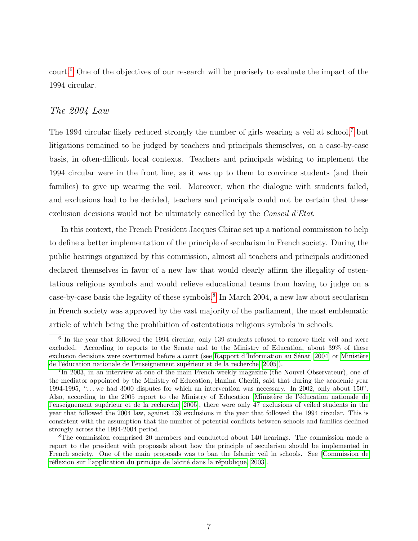court.[6](#page-9-0) One of the objectives of our research will be precisely to evaluate the impact of the 1994 circular.

#### The 2004 Law

The 1994 circular likely reduced strongly the number of girls wearing a veil at school,<sup>[7](#page-9-1)</sup> but litigations remained to be judged by teachers and principals themselves, on a case-by-case basis, in often-difficult local contexts. Teachers and principals wishing to implement the 1994 circular were in the front line, as it was up to them to convince students (and their families) to give up wearing the veil. Moreover, when the dialogue with students failed, and exclusions had to be decided, teachers and principals could not be certain that these exclusion decisions would not be ultimately cancelled by the *Conseil d'Etat*.

In this context, the French President Jacques Chirac set up a national commission to help to define a better implementation of the principle of secularism in French society. During the public hearings organized by this commission, almost all teachers and principals auditioned declared themselves in favor of a new law that would clearly affirm the illegality of ostentatious religious symbols and would relieve educational teams from having to judge on a case-by-case basis the legality of these symbols.<sup>[8](#page-9-2)</sup> In March 2004, a new law about secularism in French society was approved by the vast majority of the parliament, the most emblematic article of which being the prohibition of ostentatious religious symbols in schools.

<span id="page-9-0"></span><sup>&</sup>lt;sup>6</sup> In the year that followed the 1994 circular, only 139 students refused to remove their veil and were excluded. According to reports to the Senate and to the Ministry of Education, about 39% of these exclusion decisions were overturned before a court (see Rapport d'Information au Sénat [\[2004\]](#page-25-6) or Ministère de l'éducation nationale de l'enseignement supérieur et de la recherche [\[2005\]](#page-25-0)).

<span id="page-9-1"></span><sup>&</sup>lt;sup>7</sup>In 2003, in an interview at one of the main French weekly magazine (the Nouvel Observateur), one of the mediator appointed by the Ministry of Education, Hanina Cherifi, said that during the academic year 1994-1995, ". . . we had 3000 disputes for which an intervention was necessary. In 2002, only about 150". Also, according to the 2005 report to the Ministry of Education [Ministère de l'éducation nationale de l'enseignement supérieur et de la recherche, 2005], there were only 47 exclusions of veiled students in the year that followed the 2004 law, against 139 exclusions in the year that followed the 1994 circular. This is consistent with the assumption that the number of potential conflicts between schools and families declined strongly across the 1994-2004 period.

<span id="page-9-2"></span><sup>8</sup>The commission comprised 20 members and conducted about 140 hearings. The commission made a report to the president with proposals about how the principle of secularism should be implemented in French society. One of the main proposals was to ban the Islamic veil in schools. See [\[Commission de](#page-25-7) réflexion sur l'application du principe de laïcité dans la république, 2003].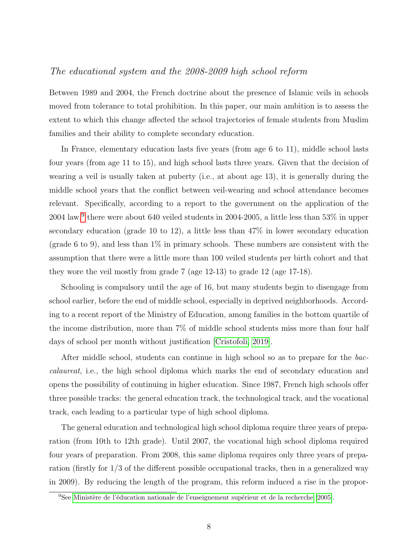#### The educational system and the 2008-2009 high school reform

Between 1989 and 2004, the French doctrine about the presence of Islamic veils in schools moved from tolerance to total prohibition. In this paper, our main ambition is to assess the extent to which this change affected the school trajectories of female students from Muslim families and their ability to complete secondary education.

In France, elementary education lasts five years (from age 6 to 11), middle school lasts four years (from age 11 to 15), and high school lasts three years. Given that the decision of wearing a veil is usually taken at puberty (i.e., at about age 13), it is generally during the middle school years that the conflict between veil-wearing and school attendance becomes relevant. Specifically, according to a report to the government on the application of the  $2004 \text{ law},^9$  $2004 \text{ law},^9$  there were about 640 veiled students in 2004-2005, a little less than 53% in upper secondary education (grade 10 to 12), a little less than 47% in lower secondary education (grade 6 to 9), and less than  $1\%$  in primary schools. These numbers are consistent with the assumption that there were a little more than 100 veiled students per birth cohort and that they wore the veil mostly from grade 7 (age 12-13) to grade 12 (age 17-18).

Schooling is compulsory until the age of 16, but many students begin to disengage from school earlier, before the end of middle school, especially in deprived neighborhoods. According to a recent report of the Ministry of Education, among families in the bottom quartile of the income distribution, more than 7% of middle school students miss more than four half days of school per month without justification [\[Cristofoli, 2019\]](#page-25-8).

After middle school, students can continue in high school so as to prepare for the baccalaureat, i.e., the high school diploma which marks the end of secondary education and opens the possibility of continuing in higher education. Since 1987, French high schools offer three possible tracks: the general education track, the technological track, and the vocational track, each leading to a particular type of high school diploma.

The general education and technological high school diploma require three years of preparation (from 10th to 12th grade). Until 2007, the vocational high school diploma required four years of preparation. From 2008, this same diploma requires only three years of preparation (firstly for 1/3 of the different possible occupational tracks, then in a generalized way in 2009). By reducing the length of the program, this reform induced a rise in the propor-

<span id="page-10-0"></span> $9$ See Ministère de l'éducation nationale de l'enseignement supérieur et de la recherche [\[2005\]](#page-25-0).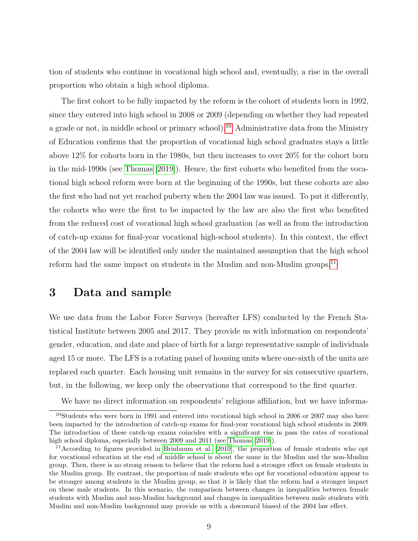tion of students who continue in vocational high school and, eventually, a rise in the overall proportion who obtain a high school diploma.

The first cohort to be fully impacted by the reform is the cohort of students born in 1992, since they entered into high school in 2008 or 2009 (depending on whether they had repeated a grade or not, in middle school or primary school).[10](#page-11-1) Administrative data from the Ministry of Education confirms that the proportion of vocational high school graduates stays a little above 12% for cohorts born in the 1980s, but then increases to over 20% for the cohort born in the mid-1990s (see [Thomas](#page-26-1) [\[2019\]](#page-26-1)). Hence, the first cohorts who benefited from the vocational high school reform were born at the beginning of the 1990s, but these cohorts are also the first who had not yet reached puberty when the 2004 law was issued. To put it differently, the cohorts who were the first to be impacted by the law are also the first who benefited from the reduced cost of vocational high school graduation (as well as from the introduction of catch-up exams for final-year vocational high-school students). In this context, the effect of the 2004 law will be identified only under the maintained assumption that the high school reform had the same impact on students in the Muslim and non-Muslim groups.<sup>[11](#page-11-2)</sup>

## <span id="page-11-0"></span>3 Data and sample

We use data from the Labor Force Surveys (hereafter LFS) conducted by the French Statistical Institute between 2005 and 2017. They provide us with information on respondents' gender, education, and date and place of birth for a large representative sample of individuals aged 15 or more. The LFS is a rotating panel of housing units where one-sixth of the units are replaced each quarter. Each housing unit remains in the survey for six consecutive quarters, but, in the following, we keep only the observations that correspond to the first quarter.

<span id="page-11-1"></span>We have no direct information on respondents' religious affiliation, but we have informa-

<sup>10</sup>Students who were born in 1991 and entered into vocational high school in 2006 or 2007 may also have been impacted by the introduction of catch-up exams for final-year vocational high school students in 2009. The introduction of these catch-up exams coincides with a significant rise in pass the rates of vocational high school diploma, especially between 2009 and 2011 (see [Thomas](#page-26-1) [\[2019\]](#page-26-1)).

<span id="page-11-2"></span><sup>&</sup>lt;sup>11</sup> According to figures provided in [Brinbaum et al.](#page-24-9) [\[2010\]](#page-24-9), the proportion of female students who opt for vocational education at the end of middle school is about the same in the Muslim and the non-Muslim group. Then, there is no strong reason to believe that the reform had a stronger effect on female students in the Muslim group. By contrast, the proportion of male students who opt for vocational education appear to be stronger among students in the Muslim group, so that it is likely that the reform had a stronger impact on these male students. In this scenario, the comparison between changes in inequalities between female students with Muslim and non-Muslim background and changes in inequalities between male students with Muslim and non-Muslim background may provide us with a downward biased of the 2004 law effect.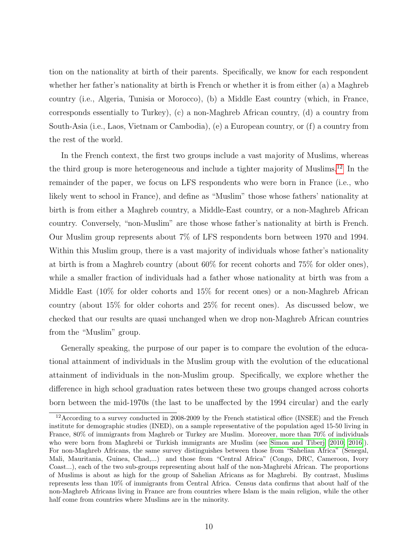tion on the nationality at birth of their parents. Specifically, we know for each respondent whether her father's nationality at birth is French or whether it is from either (a) a Maghreb country (i.e., Algeria, Tunisia or Morocco), (b) a Middle East country (which, in France, corresponds essentially to Turkey), (c) a non-Maghreb African country, (d) a country from South-Asia (i.e., Laos, Vietnam or Cambodia), (e) a European country, or (f) a country from the rest of the world.

In the French context, the first two groups include a vast majority of Muslims, whereas the third group is more heterogeneous and include a tighter majority of Muslims.[12](#page-12-0) In the remainder of the paper, we focus on LFS respondents who were born in France (i.e., who likely went to school in France), and define as "Muslim" those whose fathers' nationality at birth is from either a Maghreb country, a Middle-East country, or a non-Maghreb African country. Conversely, "non-Muslim" are those whose father's nationality at birth is French. Our Muslim group represents about 7% of LFS respondents born between 1970 and 1994. Within this Muslim group, there is a vast majority of individuals whose father's nationality at birth is from a Maghreb country (about 60% for recent cohorts and 75% for older ones), while a smaller fraction of individuals had a father whose nationality at birth was from a Middle East (10% for older cohorts and 15% for recent ones) or a non-Maghreb African country (about 15% for older cohorts and 25% for recent ones). As discussed below, we checked that our results are quasi unchanged when we drop non-Maghreb African countries from the "Muslim" group.

Generally speaking, the purpose of our paper is to compare the evolution of the educational attainment of individuals in the Muslim group with the evolution of the educational attainment of individuals in the non-Muslim group. Specifically, we explore whether the difference in high school graduation rates between these two groups changed across cohorts born between the mid-1970s (the last to be unaffected by the 1994 circular) and the early

<span id="page-12-0"></span><sup>12</sup>According to a survey conducted in 2008-2009 by the French statistical office (INSEE) and the French institute for demographic studies (INED), on a sample representative of the population aged 15-50 living in France, 80% of immigrants from Maghreb or Turkey are Muslim. Moreover, more than 70% of individuals who were born from Maghrebi or Turkish immigrants are Muslim (see [Simon and Tiberj](#page-25-9) [\[2010,](#page-25-9) [2016\]](#page-25-10)). For non-Maghreb Africans, the same survey distinguishes between those from "Sahelian Africa" (Senegal, Mali, Mauritania, Guinea, Chad,...) and those from "Central Africa" (Congo, DRC, Cameroon, Ivory Coast...), each of the two sub-groups representing about half of the non-Maghrebi African. The proportions of Muslims is about as high for the group of Sahelian Africans as for Maghrebi. By contrast, Muslims represents less than 10% of immigrants from Central Africa. Census data confirms that about half of the non-Maghreb Africans living in France are from countries where Islam is the main religion, while the other half come from countries where Muslims are in the minority.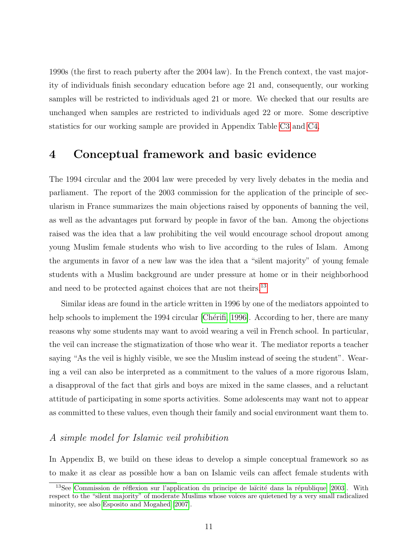1990s (the first to reach puberty after the 2004 law). In the French context, the vast majority of individuals finish secondary education before age 21 and, consequently, our working samples will be restricted to individuals aged 21 or more. We checked that our results are unchanged when samples are restricted to individuals aged 22 or more. Some descriptive statistics for our working sample are provided in Appendix Table [C3](#page-40-0) and [C4.](#page-41-0)

### <span id="page-13-0"></span>4 Conceptual framework and basic evidence

The 1994 circular and the 2004 law were preceded by very lively debates in the media and parliament. The report of the 2003 commission for the application of the principle of secularism in France summarizes the main objections raised by opponents of banning the veil, as well as the advantages put forward by people in favor of the ban. Among the objections raised was the idea that a law prohibiting the veil would encourage school dropout among young Muslim female students who wish to live according to the rules of Islam. Among the arguments in favor of a new law was the idea that a "silent majority" of young female students with a Muslim background are under pressure at home or in their neighborhood and need to be protected against choices that are not theirs.<sup>[13](#page-13-1)</sup>

Similar ideas are found in the article written in 1996 by one of the mediators appointed to help schools to implement the 1994 circular [Chérifi, 1996]. According to her, there are many reasons why some students may want to avoid wearing a veil in French school. In particular, the veil can increase the stigmatization of those who wear it. The mediator reports a teacher saying "As the veil is highly visible, we see the Muslim instead of seeing the student". Wearing a veil can also be interpreted as a commitment to the values of a more rigorous Islam, a disapproval of the fact that girls and boys are mixed in the same classes, and a reluctant attitude of participating in some sports activities. Some adolescents may want not to appear as committed to these values, even though their family and social environment want them to.

#### A simple model for Islamic veil prohibition

In Appendix B, we build on these ideas to develop a simple conceptual framework so as to make it as clear as possible how a ban on Islamic veils can affect female students with

<span id="page-13-1"></span><sup>&</sup>lt;sup>13</sup>See Commission de réflexion sur l'application du principe de laïcité dans la république [\[2003\]](#page-25-7). With respect to the "silent majority" of moderate Muslims whose voices are quietened by a very small radicalized minority, see also [Esposito and Mogahed](#page-25-11) [\[2007\]](#page-25-11).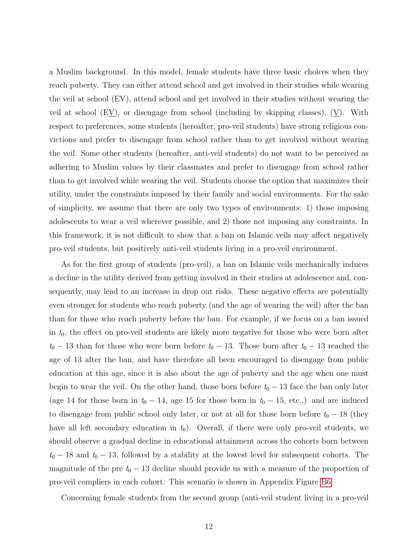a Muslim background. In this model, female students have three basic choices when they reach puberty. They can either attend school and get involved in their studies while wearing the veil at school (EV), attend school and get involved in their studies without wearing the veil at school (EV), or disengage from school (including by skipping classes),  $(Y)$ . With respect to preferences, some students (hereafter, pro-veil students) have strong religious convictions and prefer to disengage from school rather than to get involved without wearing the veil. Some other students (hereafter, anti-veil students) do not want to be perceived as adhering to Muslim values by their classmates and prefer to disengage from school rather than to get involved while wearing the veil. Students choose the option that maximizes their utility, under the constraints imposed by their family and social environments. For the sake of simplicity, we assume that there are only two types of environments: 1) those imposing adolescents to wear a veil wherever possible, and 2) those not imposing any constraints. In this framework, it is not difficult to show that a ban on Islamic veils may affect negatively pro-veil students, but positively anti-veil students living in a pro-veil environment.

As for the first group of students (pro-veil), a ban on Islamic veils mechanically induces a decline in the utility derived from getting involved in their studies at adolescence and, consequently, may lead to an increase in drop out risks. These negative effects are potentially even stronger for students who reach puberty (and the age of wearing the veil) after the ban than for those who reach puberty before the ban. For example, if we focus on a ban issued in  $t_0$ , the effect on pro-veil students are likely more negative for those who were born after  $t_0$  − 13 than for those who were born before  $t_0$  − 13. Those born after  $t_0$  − 13 reached the age of 13 after the ban, and have therefore all been encouraged to disengage from public education at this age, since it is also about the age of puberty and the age when one must begin to wear the veil. On the other hand, those born before  $t_0 - 13$  face the ban only later (age 14 for those born in  $t_0$  − 14, age 15 for those born in  $t_0$  − 15, etc..) and are induced to disengage from public school only later, or not at all for those born before  $t_0 - 18$  (they have all left secondary education in  $t_0$ ). Overall, if there were only pro-veil students, we should observe a gradual decline in educational attainment across the cohorts born between  $t_0$  − 18 and  $t_0$  − 13, followed by a stability at the lowest level for subsequent cohorts. The magnitude of the pre  $t_0 - 13$  decline should provide us with a measure of the proportion of pro-veil compliers in each cohort. This scenario is shown in Appendix Figure [B6.](#page-39-0)

Concerning female students from the second group (anti-veil student living in a pro-veil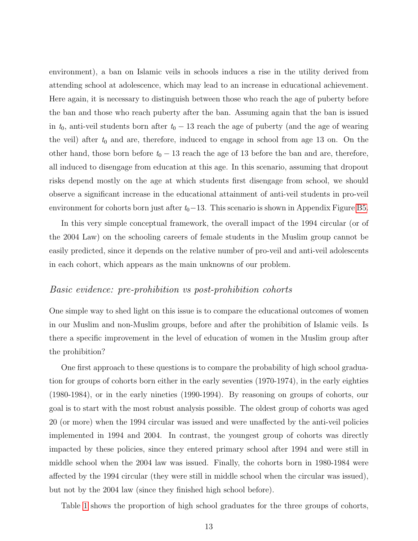environment), a ban on Islamic veils in schools induces a rise in the utility derived from attending school at adolescence, which may lead to an increase in educational achievement. Here again, it is necessary to distinguish between those who reach the age of puberty before the ban and those who reach puberty after the ban. Assuming again that the ban is issued in  $t_0$ , anti-veil students born after  $t_0 - 13$  reach the age of puberty (and the age of wearing the veil) after  $t_0$  and are, therefore, induced to engage in school from age 13 on. On the other hand, those born before  $t_0 - 13$  reach the age of 13 before the ban and are, therefore, all induced to disengage from education at this age. In this scenario, assuming that dropout risks depend mostly on the age at which students first disengage from school, we should observe a significant increase in the educational attainment of anti-veil students in pro-veil environment for cohorts born just after  $t_0-13$ . This scenario is shown in Appendix Figure [B5.](#page-38-0)

In this very simple conceptual framework, the overall impact of the 1994 circular (or of the 2004 Law) on the schooling careers of female students in the Muslim group cannot be easily predicted, since it depends on the relative number of pro-veil and anti-veil adolescents in each cohort, which appears as the main unknowns of our problem.

#### Basic evidence: pre-prohibition vs post-prohibition cohorts

One simple way to shed light on this issue is to compare the educational outcomes of women in our Muslim and non-Muslim groups, before and after the prohibition of Islamic veils. Is there a specific improvement in the level of education of women in the Muslim group after the prohibition?

One first approach to these questions is to compare the probability of high school graduation for groups of cohorts born either in the early seventies (1970-1974), in the early eighties (1980-1984), or in the early nineties (1990-1994). By reasoning on groups of cohorts, our goal is to start with the most robust analysis possible. The oldest group of cohorts was aged 20 (or more) when the 1994 circular was issued and were unaffected by the anti-veil policies implemented in 1994 and 2004. In contrast, the youngest group of cohorts was directly impacted by these policies, since they entered primary school after 1994 and were still in middle school when the 2004 law was issued. Finally, the cohorts born in 1980-1984 were affected by the 1994 circular (they were still in middle school when the circular was issued), but not by the 2004 law (since they finished high school before).

Table [1](#page-27-0) shows the proportion of high school graduates for the three groups of cohorts,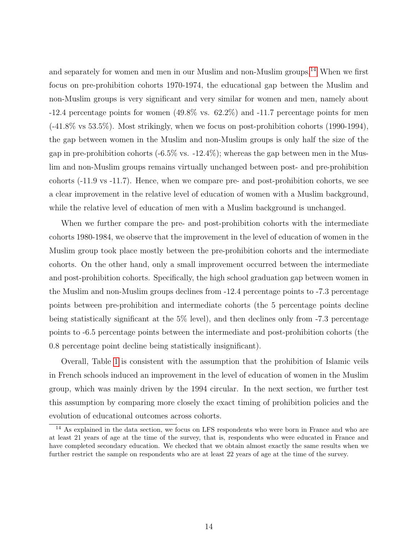and separately for women and men in our Muslim and non-Muslim groups.[14](#page-16-0) When we first focus on pre-prohibition cohorts 1970-1974, the educational gap between the Muslim and non-Muslim groups is very significant and very similar for women and men, namely about -12.4 percentage points for women (49.8% vs. 62.2%) and -11.7 percentage points for men (-41.8% vs 53.5%). Most strikingly, when we focus on post-prohibition cohorts (1990-1994), the gap between women in the Muslim and non-Muslim groups is only half the size of the gap in pre-prohibition cohorts  $(-6.5\% \text{ vs. } -12.4\%)$ ; whereas the gap between men in the Muslim and non-Muslim groups remains virtually unchanged between post- and pre-prohibition cohorts (-11.9 vs -11.7). Hence, when we compare pre- and post-prohibition cohorts, we see a clear improvement in the relative level of education of women with a Muslim background, while the relative level of education of men with a Muslim background is unchanged.

When we further compare the pre- and post-prohibition cohorts with the intermediate cohorts 1980-1984, we observe that the improvement in the level of education of women in the Muslim group took place mostly between the pre-prohibition cohorts and the intermediate cohorts. On the other hand, only a small improvement occurred between the intermediate and post-prohibition cohorts. Specifically, the high school graduation gap between women in the Muslim and non-Muslim groups declines from -12.4 percentage points to -7.3 percentage points between pre-prohibition and intermediate cohorts (the 5 percentage points decline being statistically significant at the 5% level), and then declines only from -7.3 percentage points to -6.5 percentage points between the intermediate and post-prohibition cohorts (the 0.8 percentage point decline being statistically insignificant).

Overall, Table [1](#page-27-0) is consistent with the assumption that the prohibition of Islamic veils in French schools induced an improvement in the level of education of women in the Muslim group, which was mainly driven by the 1994 circular. In the next section, we further test this assumption by comparing more closely the exact timing of prohibition policies and the evolution of educational outcomes across cohorts.

<span id="page-16-0"></span><sup>&</sup>lt;sup>14</sup> As explained in the data section, we focus on LFS respondents who were born in France and who are at least 21 years of age at the time of the survey, that is, respondents who were educated in France and have completed secondary education. We checked that we obtain almost exactly the same results when we further restrict the sample on respondents who are at least 22 years of age at the time of the survey.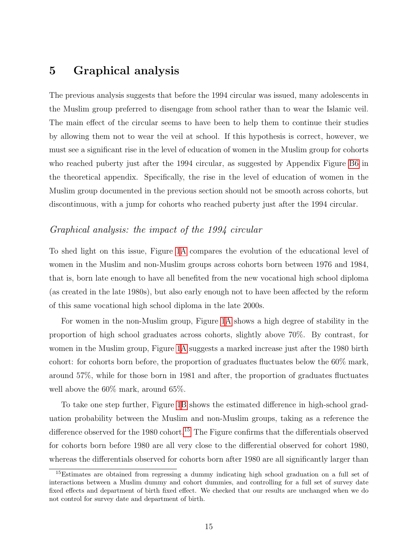## <span id="page-17-0"></span>5 Graphical analysis

The previous analysis suggests that before the 1994 circular was issued, many adolescents in the Muslim group preferred to disengage from school rather than to wear the Islamic veil. The main effect of the circular seems to have been to help them to continue their studies by allowing them not to wear the veil at school. If this hypothesis is correct, however, we must see a significant rise in the level of education of women in the Muslim group for cohorts who reached puberty just after the 1994 circular, as suggested by Appendix Figure [B6](#page-39-0) in the theoretical appendix. Specifically, the rise in the level of education of women in the Muslim group documented in the previous section should not be smooth across cohorts, but discontinuous, with a jump for cohorts who reached puberty just after the 1994 circular.

#### Graphical analysis: the impact of the 1994 circular

To shed light on this issue, Figure [1A](#page-29-0) compares the evolution of the educational level of women in the Muslim and non-Muslim groups across cohorts born between 1976 and 1984, that is, born late enough to have all benefited from the new vocational high school diploma (as created in the late 1980s), but also early enough not to have been affected by the reform of this same vocational high school diploma in the late 2000s.

For women in the non-Muslim group, Figure [1A](#page-29-0) shows a high degree of stability in the proportion of high school graduates across cohorts, slightly above 70%. By contrast, for women in the Muslim group, Figure [1A](#page-29-0) suggests a marked increase just after the 1980 birth cohort: for cohorts born before, the proportion of graduates fluctuates below the 60% mark, around 57%, while for those born in 1981 and after, the proportion of graduates fluctuates well above the 60% mark, around 65%.

To take one step further, Figure [1B](#page-29-0) shows the estimated difference in high-school graduation probability between the Muslim and non-Muslim groups, taking as a reference the difference observed for the 1980 cohort.<sup>[15](#page-17-1)</sup> The Figure confirms that the differentials observed for cohorts born before 1980 are all very close to the differential observed for cohort 1980, whereas the differentials observed for cohorts born after 1980 are all significantly larger than

<span id="page-17-1"></span><sup>15</sup>Estimates are obtained from regressing a dummy indicating high school graduation on a full set of interactions between a Muslim dummy and cohort dummies, and controlling for a full set of survey date fixed effects and department of birth fixed effect. We checked that our results are unchanged when we do not control for survey date and department of birth.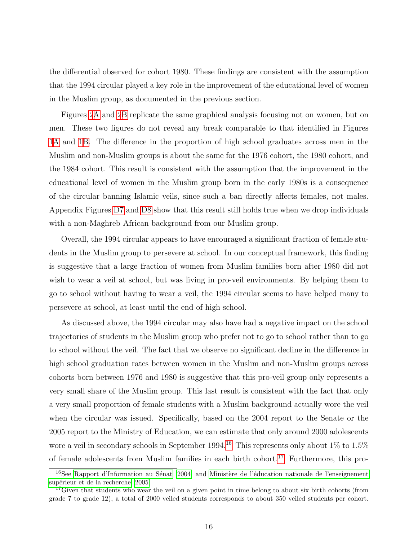the differential observed for cohort 1980. These findings are consistent with the assumption that the 1994 circular played a key role in the improvement of the educational level of women in the Muslim group, as documented in the previous section.

Figures [2A](#page-30-0) and [2B](#page-30-0) replicate the same graphical analysis focusing not on women, but on men. These two figures do not reveal any break comparable to that identified in Figures [1A](#page-29-0) and [1B.](#page-29-0) The difference in the proportion of high school graduates across men in the Muslim and non-Muslim groups is about the same for the 1976 cohort, the 1980 cohort, and the 1984 cohort. This result is consistent with the assumption that the improvement in the educational level of women in the Muslim group born in the early 1980s is a consequence of the circular banning Islamic veils, since such a ban directly affects females, not males. Appendix Figures [D7](#page-42-0) and [D8](#page-43-0) show that this result still holds true when we drop individuals with a non-Maghreb African background from our Muslim group.

Overall, the 1994 circular appears to have encouraged a significant fraction of female students in the Muslim group to persevere at school. In our conceptual framework, this finding is suggestive that a large fraction of women from Muslim families born after 1980 did not wish to wear a veil at school, but was living in pro-veil environments. By helping them to go to school without having to wear a veil, the 1994 circular seems to have helped many to persevere at school, at least until the end of high school.

As discussed above, the 1994 circular may also have had a negative impact on the school trajectories of students in the Muslim group who prefer not to go to school rather than to go to school without the veil. The fact that we observe no significant decline in the difference in high school graduation rates between women in the Muslim and non-Muslim groups across cohorts born between 1976 and 1980 is suggestive that this pro-veil group only represents a very small share of the Muslim group. This last result is consistent with the fact that only a very small proportion of female students with a Muslim background actually wore the veil when the circular was issued. Specifically, based on the 2004 report to the Senate or the 2005 report to the Ministry of Education, we can estimate that only around 2000 adolescents wore a veil in secondary schools in September 1994.<sup>[16](#page-18-0)</sup> This represents only about  $1\%$  to  $1.5\%$ of female adolescents from Muslim families in each birth cohort.<sup>[17](#page-18-1)</sup> Furthermore, this pro-

<span id="page-18-0"></span> $16$ See Rapport d'Information au Sénat [\[2004\]](#page-25-6) and Ministère de l'éducation nationale de l'enseignement supérieur et de la recherche [\[2005\]](#page-25-0)

<span id="page-18-1"></span><sup>&</sup>lt;sup>17</sup>Given that students who wear the veil on a given point in time belong to about six birth cohorts (from grade 7 to grade 12), a total of 2000 veiled students corresponds to about 350 veiled students per cohort.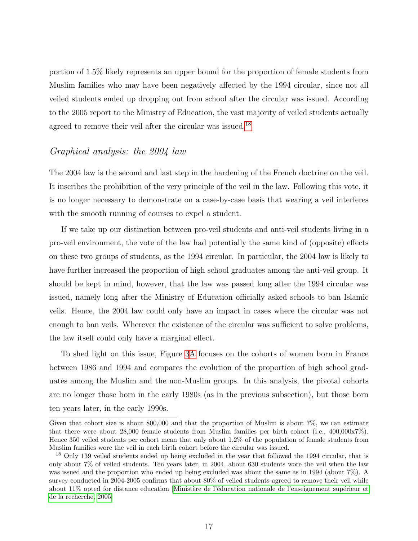portion of 1.5% likely represents an upper bound for the proportion of female students from Muslim families who may have been negatively affected by the 1994 circular, since not all veiled students ended up dropping out from school after the circular was issued. According to the 2005 report to the Ministry of Education, the vast majority of veiled students actually agreed to remove their veil after the circular was issued.<sup>[18](#page-19-0)</sup>

#### Graphical analysis: the 2004 law

The 2004 law is the second and last step in the hardening of the French doctrine on the veil. It inscribes the prohibition of the very principle of the veil in the law. Following this vote, it is no longer necessary to demonstrate on a case-by-case basis that wearing a veil interferes with the smooth running of courses to expel a student.

If we take up our distinction between pro-veil students and anti-veil students living in a pro-veil environment, the vote of the law had potentially the same kind of (opposite) effects on these two groups of students, as the 1994 circular. In particular, the 2004 law is likely to have further increased the proportion of high school graduates among the anti-veil group. It should be kept in mind, however, that the law was passed long after the 1994 circular was issued, namely long after the Ministry of Education officially asked schools to ban Islamic veils. Hence, the 2004 law could only have an impact in cases where the circular was not enough to ban veils. Wherever the existence of the circular was sufficient to solve problems, the law itself could only have a marginal effect.

To shed light on this issue, Figure [3A](#page-31-0) focuses on the cohorts of women born in France between 1986 and 1994 and compares the evolution of the proportion of high school graduates among the Muslim and the non-Muslim groups. In this analysis, the pivotal cohorts are no longer those born in the early 1980s (as in the previous subsection), but those born ten years later, in the early 1990s.

Given that cohort size is about 800,000 and that the proportion of Muslim is about 7%, we can estimate that there were about 28,000 female students from Muslim families per birth cohort (i.e., 400,000x7%). Hence 350 veiled students per cohort mean that only about 1.2% of the population of female students from Muslim families wore the veil in each birth cohort before the circular was issued.

<span id="page-19-0"></span><sup>&</sup>lt;sup>18</sup> Only 139 veiled students ended up being excluded in the year that followed the 1994 circular, that is only about 7% of veiled students. Ten years later, in 2004, about 630 students wore the veil when the law was issued and the proportion who ended up being excluded was about the same as in 1994 (about 7%). A survey conducted in 2004-2005 confirms that about 80% of veiled students agreed to remove their veil while about 11% opted for distance education [Ministère de l'éducation nationale de l'enseignement supérieur et [de la recherche, 2005\]](#page-25-0)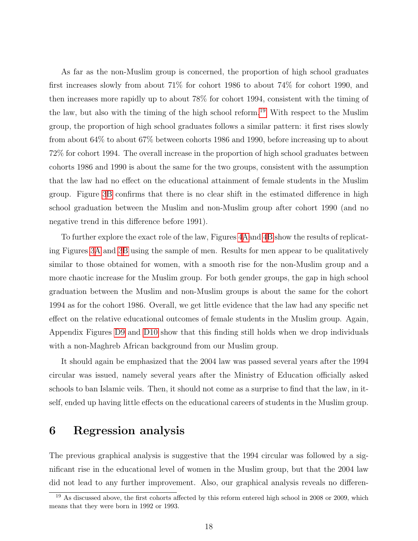As far as the non-Muslim group is concerned, the proportion of high school graduates first increases slowly from about 71% for cohort 1986 to about 74% for cohort 1990, and then increases more rapidly up to about 78% for cohort 1994, consistent with the timing of the law, but also with the timing of the high school reform.<sup>[19](#page-20-1)</sup> With respect to the Muslim group, the proportion of high school graduates follows a similar pattern: it first rises slowly from about 64% to about 67% between cohorts 1986 and 1990, before increasing up to about 72% for cohort 1994. The overall increase in the proportion of high school graduates between cohorts 1986 and 1990 is about the same for the two groups, consistent with the assumption that the law had no effect on the educational attainment of female students in the Muslim group. Figure [3B](#page-31-0) confirms that there is no clear shift in the estimated difference in high school graduation between the Muslim and non-Muslim group after cohort 1990 (and no negative trend in this difference before 1991).

To further explore the exact role of the law, Figures [4Aa](#page-32-0)nd [4](#page-32-0)[B](#page-31-0) show the results of replicating Figures [3A](#page-31-0) and [3B](#page-31-0) using the sample of men. Results for men appear to be qualitatively similar to those obtained for women, with a smooth rise for the non-Muslim group and a more chaotic increase for the Muslim group. For both gender groups, the gap in high school graduation between the Muslim and non-Muslim groups is about the same for the cohort 1994 as for the cohort 1986. Overall, we get little evidence that the law had any specific net effect on the relative educational outcomes of female students in the Muslim group. Again, Appendix Figures [D9](#page-43-1) and [D10](#page-44-0) show that this finding still holds when we drop individuals with a non-Maghreb African background from our Muslim group.

It should again be emphasized that the 2004 law was passed several years after the 1994 circular was issued, namely several years after the Ministry of Education officially asked schools to ban Islamic veils. Then, it should not come as a surprise to find that the law, in itself, ended up having little effects on the educational careers of students in the Muslim group.

## <span id="page-20-0"></span>6 Regression analysis

The previous graphical analysis is suggestive that the 1994 circular was followed by a significant rise in the educational level of women in the Muslim group, but that the 2004 law did not lead to any further improvement. Also, our graphical analysis reveals no differen-

<span id="page-20-1"></span><sup>&</sup>lt;sup>19</sup> As discussed above, the first cohorts affected by this reform entered high school in 2008 or 2009, which means that they were born in 1992 or 1993.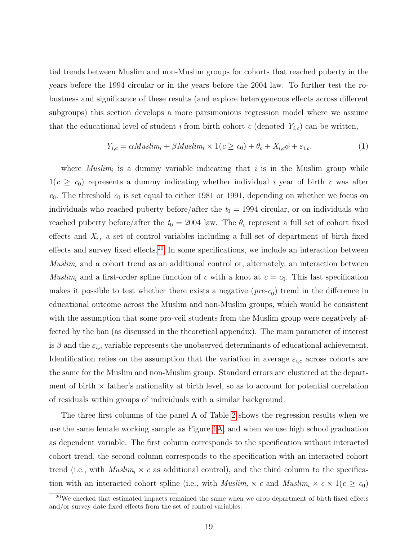tial trends between Muslim and non-Muslim groups for cohorts that reached puberty in the years before the 1994 circular or in the years before the 2004 law. To further test the robustness and significance of these results (and explore heterogeneous effects across different subgroups) this section develops a more parsimonious regression model where we assume that the educational level of student i from birth cohort c (denoted  $Y_{i,c}$ ) can be written,

$$
Y_{i,c} = \alpha \text{Muslim}_{i} + \beta \text{Muslim}_{i} \times 1(c \ge c_0) + \theta_c + X_{i,c} \phi + \varepsilon_{i,c},\tag{1}
$$

where  $Muslim_i$  is a dummy variable indicating that i is in the Muslim group while  $1(c \geq c_0)$  represents a dummy indicating whether individual i year of birth c was after  $c_0$ . The threshold  $c_0$  is set equal to either 1981 or 1991, depending on whether we focus on individuals who reached puberty before/after the  $t_0 = 1994$  circular, or on individuals who reached puberty before/after the  $t_0 = 2004$  law. The  $\theta_c$  represent a full set of cohort fixed effects and  $X_{i,c}$  a set of control variables including a full set of department of birth fixed effects and survey fixed effects.[20](#page-21-0) In some specifications, we include an interaction between  $Muslim<sub>i</sub>$  and a cohort trend as an additional control or, alternately, an interaction between *Muslim<sub>i</sub>* and a first-order spline function of c with a knot at  $c = c_0$ . This last specification makes it possible to test whether there exists a negative  $(\text{pre-c}_0)$  trend in the difference in educational outcome across the Muslim and non-Muslim groups, which would be consistent with the assumption that some pro-veil students from the Muslim group were negatively affected by the ban (as discussed in the theoretical appendix). The main parameter of interest is  $\beta$  and the  $\varepsilon_{i,c}$  variable represents the unobserved determinants of educational achievement. Identification relies on the assumption that the variation in average  $\varepsilon_{i,c}$  across cohorts are the same for the Muslim and non-Muslim group. Standard errors are clustered at the department of birth  $\times$  father's nationality at birth level, so as to account for potential correlation of residuals within groups of individuals with a similar background.

The three first columns of the panel A of Table [2](#page-28-0) shows the regression results when we use the same female working sample as Figure [1A,](#page-29-0) and when we use high school graduation as dependent variable. The first column corresponds to the specification without interacted cohort trend, the second column corresponds to the specification with an interacted cohort trend (i.e., with  $Muslim_i \times c$  as additional control), and the third column to the specification with an interacted cohort spline (i.e., with  $Muslim_i \times c$  and  $Muslim_i \times c \times 1$  ( $c \geq c_0$ )

<span id="page-21-0"></span> $20$ We checked that estimated impacts remained the same when we drop department of birth fixed effects and/or survey date fixed effects from the set of control variables.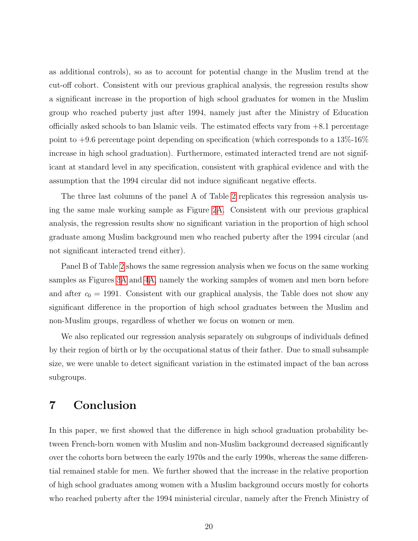as additional controls), so as to account for potential change in the Muslim trend at the cut-off cohort. Consistent with our previous graphical analysis, the regression results show a significant increase in the proportion of high school graduates for women in the Muslim group who reached puberty just after 1994, namely just after the Ministry of Education officially asked schools to ban Islamic veils. The estimated effects vary from  $+8.1$  percentage point to +9.6 percentage point depending on specification (which corresponds to a 13%-16% increase in high school graduation). Furthermore, estimated interacted trend are not significant at standard level in any specification, consistent with graphical evidence and with the assumption that the 1994 circular did not induce significant negative effects.

The three last columns of the panel A of Table [2](#page-28-0) replicates this regression analysis using the same male working sample as Figure [2A.](#page-30-0) Consistent with our previous graphical analysis, the regression results show no significant variation in the proportion of high school graduate among Muslim background men who reached puberty after the 1994 circular (and not significant interacted trend either).

Panel B of Table [2](#page-28-0) shows the same regression analysis when we focus on the same working samples as Figures [3A](#page-31-0) and [4A,](#page-32-0) namely the working samples of women and men born before and after  $c_0 = 1991$ . Consistent with our graphical analysis, the Table does not show any significant difference in the proportion of high school graduates between the Muslim and non-Muslim groups, regardless of whether we focus on women or men.

We also replicated our regression analysis separately on subgroups of individuals defined by their region of birth or by the occupational status of their father. Due to small subsample size, we were unable to detect significant variation in the estimated impact of the ban across subgroups.

## <span id="page-22-0"></span>7 Conclusion

In this paper, we first showed that the difference in high school graduation probability between French-born women with Muslim and non-Muslim background decreased significantly over the cohorts born between the early 1970s and the early 1990s, whereas the same differential remained stable for men. We further showed that the increase in the relative proportion of high school graduates among women with a Muslim background occurs mostly for cohorts who reached puberty after the 1994 ministerial circular, namely after the French Ministry of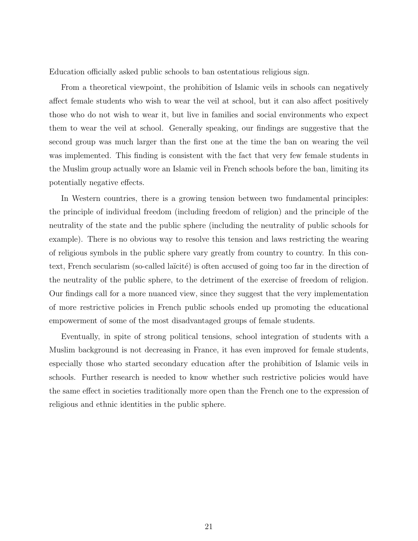Education officially asked public schools to ban ostentatious religious sign.

From a theoretical viewpoint, the prohibition of Islamic veils in schools can negatively affect female students who wish to wear the veil at school, but it can also affect positively those who do not wish to wear it, but live in families and social environments who expect them to wear the veil at school. Generally speaking, our findings are suggestive that the second group was much larger than the first one at the time the ban on wearing the veil was implemented. This finding is consistent with the fact that very few female students in the Muslim group actually wore an Islamic veil in French schools before the ban, limiting its potentially negative effects.

In Western countries, there is a growing tension between two fundamental principles: the principle of individual freedom (including freedom of religion) and the principle of the neutrality of the state and the public sphere (including the neutrality of public schools for example). There is no obvious way to resolve this tension and laws restricting the wearing of religious symbols in the public sphere vary greatly from country to country. In this context, French secularism (so-called laïcité) is often accused of going too far in the direction of the neutrality of the public sphere, to the detriment of the exercise of freedom of religion. Our findings call for a more nuanced view, since they suggest that the very implementation of more restrictive policies in French public schools ended up promoting the educational empowerment of some of the most disadvantaged groups of female students.

Eventually, in spite of strong political tensions, school integration of students with a Muslim background is not decreasing in France, it has even improved for female students, especially those who started secondary education after the prohibition of Islamic veils in schools. Further research is needed to know whether such restrictive policies would have the same effect in societies traditionally more open than the French one to the expression of religious and ethnic identities in the public sphere.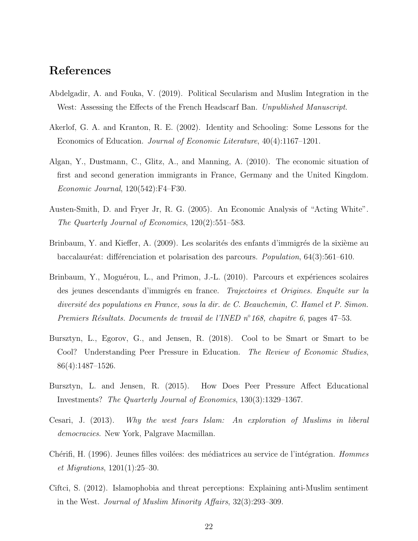### References

- <span id="page-24-3"></span>Abdelgadir, A. and Fouka, V. (2019). Political Secularism and Muslim Integration in the West: Assessing the Effects of the French Headscarf Ban. Unpublished Manuscript.
- <span id="page-24-2"></span>Akerlof, G. A. and Kranton, R. E. (2002). Identity and Schooling: Some Lessons for the Economics of Education. Journal of Economic Literature, 40(4):1167–1201.
- <span id="page-24-7"></span>Algan, Y., Dustmann, C., Glitz, A., and Manning, A. (2010). The economic situation of first and second generation immigrants in France, Germany and the United Kingdom. Economic Journal, 120(542):F4–F30.
- <span id="page-24-4"></span>Austen-Smith, D. and Fryer Jr, R. G. (2005). An Economic Analysis of "Acting White". The Quarterly Journal of Economics, 120(2):551–583.
- <span id="page-24-8"></span>Brinbaum, Y. and Kieffer, A. (2009). Les scolarités des enfants d'immigrés de la sixième au baccalauréat: différenciation et polarisation des parcours. Population,  $64(3):561-610$ .
- <span id="page-24-9"></span>Brinbaum, Y., Moguérou, L., and Primon, J.-L. (2010). Parcours et expériences scolaires des jeunes descendants d'immigrés en france. Trajectoires et Origines. Enquête sur la diversité des populations en France, sous la dir. de C. Beauchemin, C. Hamel et P. Simon. Premiers Résultats. Documents de travail de l'INED n°168, chapitre 6, pages 47–53.
- <span id="page-24-6"></span>Bursztyn, L., Egorov, G., and Jensen, R. (2018). Cool to be Smart or Smart to be Cool? Understanding Peer Pressure in Education. The Review of Economic Studies, 86(4):1487–1526.
- <span id="page-24-5"></span>Bursztyn, L. and Jensen, R. (2015). How Does Peer Pressure Affect Educational Investments? The Quarterly Journal of Economics, 130(3):1329–1367.
- <span id="page-24-0"></span>Cesari, J. (2013). Why the west fears Islam: An exploration of Muslims in liberal democracies. New York, Palgrave Macmillan.
- <span id="page-24-10"></span>Chérifi, H. (1996). Jeunes filles voilées: des médiatrices au service de l'intégration. Hommes et Migrations, 1201(1):25–30.
- <span id="page-24-1"></span>Ciftci, S. (2012). Islamophobia and threat perceptions: Explaining anti-Muslim sentiment in the West. Journal of Muslim Minority Affairs, 32(3):293–309.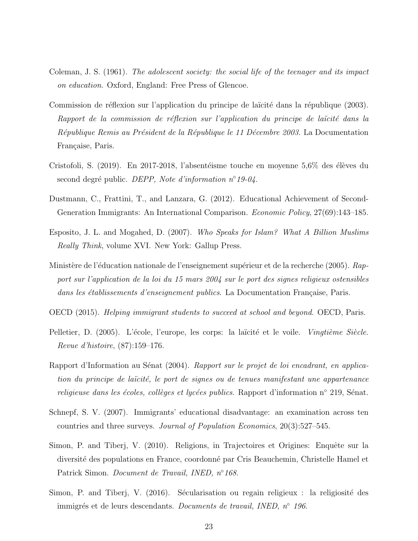- <span id="page-25-1"></span>Coleman, J. S. (1961). The adolescent society: the social life of the teenager and its impact on education. Oxford, England: Free Press of Glencoe.
- <span id="page-25-7"></span>Commission de réflexion sur l'application du principe de laïcité dans la république (2003). Rapport de la commission de réflexion sur l'application du principe de laïcité dans la République Remis au Président de la République le 11 Décembre 2003. La Documentation Française, Paris.
- <span id="page-25-8"></span>Cristofoli, S.  $(2019)$ . En 2017-2018, l'absentéisme touche en moyenne 5,6% des élèves du second degré public. DEPP, Note d'information n°19-04.
- <span id="page-25-3"></span>Dustmann, C., Frattini, T., and Lanzara, G. (2012). Educational Achievement of Second-Generation Immigrants: An International Comparison. Economic Policy, 27(69):143–185.
- <span id="page-25-11"></span>Esposito, J. L. and Mogahed, D. (2007). Who Speaks for Islam? What A Billion Muslims Really Think, volume XVI. New York: Gallup Press.
- <span id="page-25-0"></span>Ministère de l'éducation nationale de l'enseignement supérieur et de la recherche (2005). Rapport sur l'application de la loi du 15 mars 2004 sur le port des signes religieux ostensibles dans les établissements d'enseignement publics. La Documentation Française, Paris.
- <span id="page-25-4"></span>OECD (2015). Helping immigrant students to succeed at school and beyond. OECD, Paris.
- <span id="page-25-5"></span>Pelletier, D. (2005). L'école, l'europe, les corps: la laïcité et le voile. Vingtième Siècle. Revue d'histoire, (87):159–176.
- <span id="page-25-6"></span>Rapport d'Information au Sénat (2004). Rapport sur le projet de loi encadrant, en application du principe de laïcité, le port de signes ou de tenues manifestant une appartenance religieuse dans les écoles, collèges et lycées publics. Rapport d'information n° 219, Sénat.
- <span id="page-25-2"></span>Schnepf, S. V. (2007). Immigrants' educational disadvantage: an examination across ten countries and three surveys. Journal of Population Economics, 20(3):527–545.
- <span id="page-25-9"></span>Simon, P. and Tiberj, V. (2010). Religions, in Trajectoires et Origines: Enquête sur la diversit´e des populations en France, coordonn´e par Cris Beauchemin, Christelle Hamel et Patrick Simon. Document de Travail, INED, n◦168.
- <span id="page-25-10"></span>Simon, P. and Tiberj, V. (2016). Sécularisation ou regain religieux : la religiosité des immigrés et de leurs descendants. Documents de travail, INED, n<sup>®</sup> 196.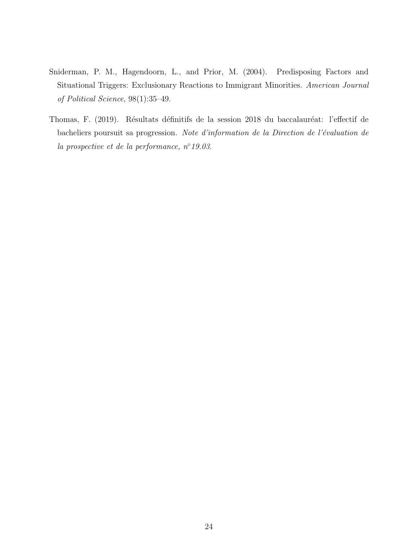- <span id="page-26-0"></span>Sniderman, P. M., Hagendoorn, L., and Prior, M. (2004). Predisposing Factors and Situational Triggers: Exclusionary Reactions to Immigrant Minorities. American Journal of Political Science, 98(1):35–49.
- <span id="page-26-1"></span>Thomas, F. (2019). Résultats définitifs de la session 2018 du baccalauréat: l'effectif de bacheliers poursuit sa progression. Note d'information de la Direction de l'évaluation de la prospective et de la performance, n◦19.03.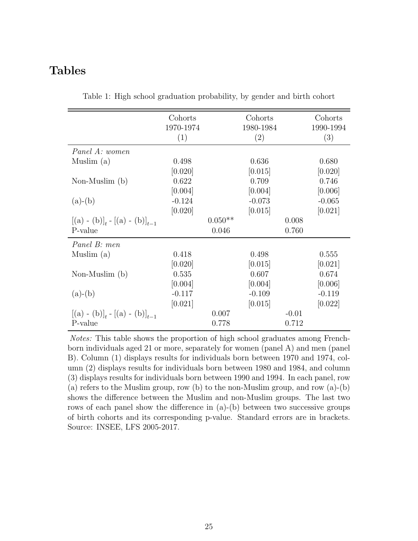## Tables

<span id="page-27-0"></span>

|                                     | Cohorts<br>1970-1974 |           | Cohorts<br>1980-1984 |         | Cohorts<br>1990-1994 |
|-------------------------------------|----------------------|-----------|----------------------|---------|----------------------|
|                                     | (1)                  |           | (2)                  |         | (3)                  |
| Panel A: women                      |                      |           |                      |         |                      |
| Muslim $(a)$                        | 0.498                |           | 0.636                |         | 0.680                |
|                                     | [0.020]              |           | [0.015]              |         | [0.020]              |
| Non-Muslim $(b)$                    | 0.622                |           | 0.709                |         | 0.746                |
|                                     | [0.004]              |           | [0.004]              |         | [0.006]              |
| $(a)-(b)$                           | $-0.124$             |           | $-0.073$             |         | $-0.065$             |
|                                     | [0.020]              |           | [0.015]              |         | [0.021]              |
| $[(a) - (b)]_t - [(a) - (b)]_{t-1}$ |                      | $0.050**$ |                      | 0.008   |                      |
| P-value                             |                      | 0.046     |                      | 0.760   |                      |
| Panel B: men                        |                      |           |                      |         |                      |
| Muslim $(a)$                        | 0.418                |           | 0.498                |         | 0.555                |
|                                     | [0.020]              |           | [0.015]              |         | [0.021]              |
| Non-Muslim $(b)$                    | 0.535                |           | 0.607                |         | 0.674                |
|                                     | [0.004]              |           | [0.004]              |         | [0.006]              |
| $(a)-(b)$                           | $-0.117$             |           | $-0.109$             |         | $-0.119$             |
|                                     | [0.021]              |           | [0.015]              |         | [0.022]              |
| $[(a) - (b)]_t - [(a) - (b)]_{t-1}$ |                      | 0.007     |                      | $-0.01$ |                      |
| P-value                             |                      | 0.778     |                      | 0.712   |                      |

Table 1: High school graduation probability, by gender and birth cohort

Notes: This table shows the proportion of high school graduates among Frenchborn individuals aged 21 or more, separately for women (panel A) and men (panel B). Column (1) displays results for individuals born between 1970 and 1974, column (2) displays results for individuals born between 1980 and 1984, and column (3) displays results for individuals born between 1990 and 1994. In each panel, row (a) refers to the Muslim group, row (b) to the non-Muslim group, and row (a)-(b) shows the difference between the Muslim and non-Muslim groups. The last two rows of each panel show the difference in (a)-(b) between two successive groups of birth cohorts and its corresponding p-value. Standard errors are in brackets. Source: INSEE, LFS 2005-2017.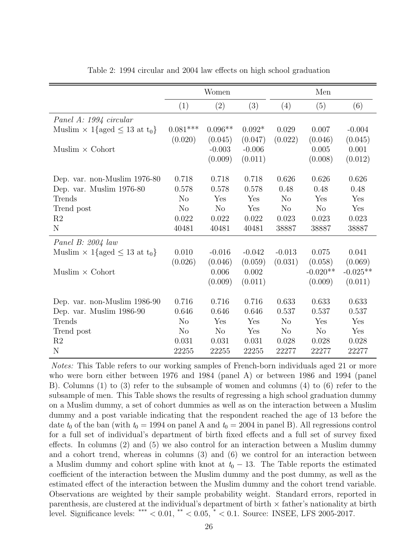<span id="page-28-0"></span>

|                                                      | Women          |           |          | Men            |            |            |
|------------------------------------------------------|----------------|-----------|----------|----------------|------------|------------|
|                                                      | (1)            | (2)       | (3)      | (4)            | (5)        | (6)        |
| Panel A: 1994 circular                               |                |           |          |                |            |            |
| Muslim $\times$ 1{aged $\leq$ 13 at t <sub>0</sub> } | $0.081***$     | $0.096**$ | $0.092*$ | 0.029          | 0.007      | $-0.004$   |
|                                                      | (0.020)        | (0.045)   | (0.047)  | (0.022)        | (0.046)    | (0.045)    |
| Muslim $\times$ Cohort                               |                | $-0.003$  | $-0.006$ |                | 0.005      | 0.001      |
|                                                      |                | (0.009)   | (0.011)  |                | (0.008)    | (0.012)    |
|                                                      |                |           |          |                |            |            |
| Dep. var. non-Muslim 1976-80                         | 0.718          | 0.718     | 0.718    | 0.626          | 0.626      | 0.626      |
| Dep. var. Muslim 1976-80                             | 0.578          | 0.578     | 0.578    | 0.48           | 0.48       | 0.48       |
| Trends                                               | N <sub>o</sub> | Yes       | Yes      | N <sub>o</sub> | Yes        | Yes        |
| Trend post                                           | N <sub>o</sub> | No        | Yes      | No             | No         | Yes        |
| R <sub>2</sub>                                       | 0.022          | 0.022     | 0.022    | 0.023          | 0.023      | 0.023      |
| $\mathbf N$                                          | 40481          | 40481     | 40481    | 38887          | 38887      | 38887      |
| Panel B: $2004$ law                                  |                |           |          |                |            |            |
| Muslim $\times$ 1{aged $\leq$ 13 at t <sub>0</sub> } | 0.010          | $-0.016$  | $-0.042$ | $-0.013$       | 0.075      | 0.041      |
|                                                      | (0.026)        | (0.046)   | (0.059)  | (0.031)        | (0.058)    | (0.069)    |
| Muslim $\times$ Cohort                               |                | 0.006     | 0.002    |                | $-0.020**$ | $-0.025**$ |
|                                                      |                | (0.009)   | (0.011)  |                | (0.009)    | (0.011)    |
|                                                      |                |           |          |                |            |            |
| Dep. var. non-Muslim 1986-90                         | 0.716          | 0.716     | 0.716    | 0.633          | 0.633      | 0.633      |
| Dep. var. Muslim 1986-90                             | 0.646          | 0.646     | 0.646    | 0.537          | 0.537      | 0.537      |
| Trends                                               | No             | Yes       | Yes      | $\rm No$       | Yes        | Yes        |
| Trend post                                           | N <sub>o</sub> | No        | Yes      | No             | No         | Yes        |
| R <sub>2</sub>                                       | 0.031          | 0.031     | 0.031    | 0.028          | 0.028      | 0.028      |
| N                                                    | 22255          | 22255     | 22255    | 22277          | 22277      | 22277      |

Table 2: 1994 circular and 2004 law effects on high school graduation

Notes: This Table refers to our working samples of French-born individuals aged 21 or more who were born either between 1976 and 1984 (panel A) or between 1986 and 1994 (panel B). Columns (1) to (3) refer to the subsample of women and columns (4) to (6) refer to the subsample of men. This Table shows the results of regressing a high school graduation dummy on a Muslim dummy, a set of cohort dummies as well as on the interaction between a Muslim dummy and a post variable indicating that the respondent reached the age of 13 before the date  $t_0$  of the ban (with  $t_0 = 1994$  on panel A and  $t_0 = 2004$  in panel B). All regressions control for a full set of individual's department of birth fixed effects and a full set of survey fixed effects. In columns (2) and (5) we also control for an interaction between a Muslim dummy and a cohort trend, whereas in columns (3) and (6) we control for an interaction between a Muslim dummy and cohort spline with knot at  $t_0 - 13$ . The Table reports the estimated coefficient of the interaction between the Muslim dummy and the post dummy, as well as the estimated effect of the interaction between the Muslim dummy and the cohort trend variable. Observations are weighted by their sample probability weight. Standard errors, reported in parenthesis, are clustered at the individual's department of birth  $\times$  father's nationality at birth level. Significance levels: \*\*\* < 0.01, \*\* < 0.05, \* < 0.1. Source: INSEE, LFS 2005-2017.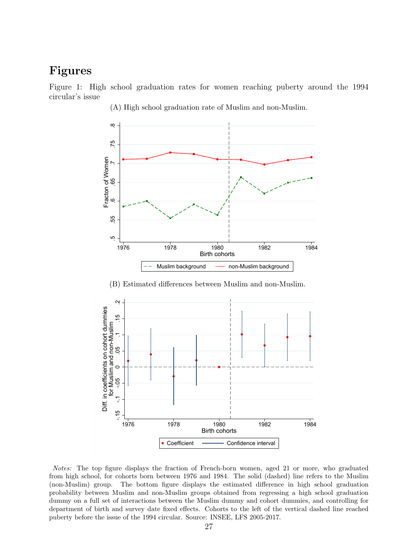## Figures

<span id="page-29-0"></span>circular's issue



(A) High school graduation rate of Muslim and non-Muslim.

Figure 1: High school graduation rates for women reaching puberty around the 1994

(B) Estimated differences between Muslim and non-Muslim.



Notes: The top figure displays the fraction of French-born women, aged 21 or more, who graduated from high school, for cohorts born between 1976 and 1984. The solid (dashed) line refers to the Muslim (non-Muslim) group. The bottom figure displays the estimated difference in high school graduation probability between Muslim and non-Muslim groups obtained from regressing a high school graduation dummy on a full set of interactions between the Muslim dummy and cohort dummies, and controlling for department of birth and survey date fixed effects. Cohorts to the left of the vertical dashed line reached puberty before the issue of the 1994 circular. Source: INSEE, LFS 2005-2017.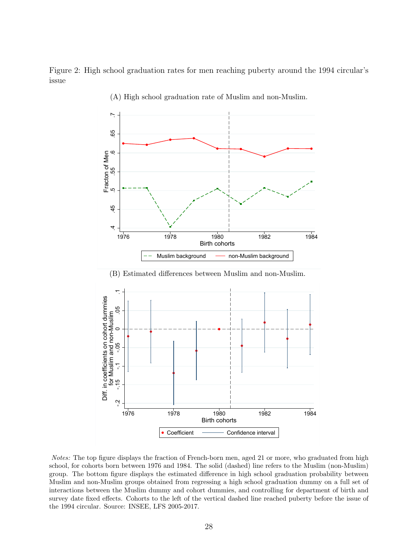<span id="page-30-0"></span>Figure 2: High school graduation rates for men reaching puberty around the 1994 circular's issue



(A) High school graduation rate of Muslim and non-Muslim.



Birth cohorts Coefficient - Confidence interval

-.2 -.15 -.1 -.05

1976 1978 1980 1982 1984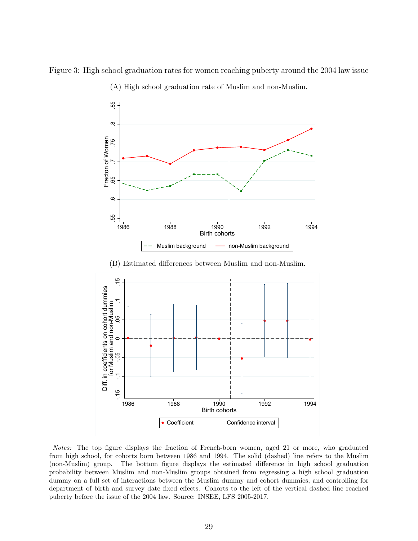

(A) High school graduation rate of Muslim and non-Muslim.

<span id="page-31-0"></span>Figure 3: High school graduation rates for women reaching puberty around the 2004 law issue

Notes: The top figure displays the fraction of French-born women, aged 21 or more, who graduated from high school, for cohorts born between 1986 and 1994. The solid (dashed) line refers to the Muslim (non-Muslim) group. The bottom figure displays the estimated difference in high school graduation probability between Muslim and non-Muslim groups obtained from regressing a high school graduation dummy on a full set of interactions between the Muslim dummy and cohort dummies, and controlling for department of birth and survey date fixed effects. Cohorts to the left of the vertical dashed line reached puberty before the issue of the 2004 law. Source: INSEE, LFS 2005-2017.

Coefficient Confidence interval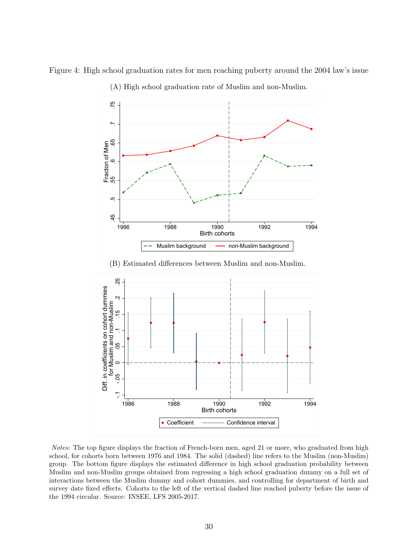

(A) High school graduation rate of Muslim and non-Muslim.

<span id="page-32-0"></span>Figure 4: High school graduation rates for men reaching puberty around the 2004 law's issue



Coefficient Confidence interval

1986 1988 1990 1992 1994 Birth cohorts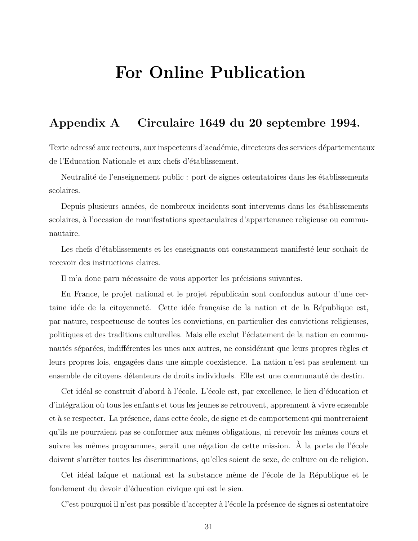# For Online Publication

## Appendix A Circulaire 1649 du 20 septembre 1994.

Texte adressé aux recteurs, aux inspecteurs d'académie, directeurs des services départementaux de l'Education Nationale et aux chefs d'établissement.

Neutralité de l'enseignement public : port de signes ostentatoires dans les établissements scolaires.

Depuis plusieurs années, de nombreux incidents sont intervenus dans les établissements scolaires, à l'occasion de manifestations spectaculaires d'appartenance religieuse ou communautaire.

Les chefs d'établissements et les enseignants ont constamment manifesté leur souhait de recevoir des instructions claires.

Il m'a donc paru nécessaire de vous apporter les précisions suivantes.

En France, le projet national et le projet républicain sont confondus autour d'une certaine idée de la citoyenneté. Cette idée française de la nation et de la République est, par nature, respectueuse de toutes les convictions, en particulier des convictions religieuses, politiques et des traditions culturelles. Mais elle exclut l'éclatement de la nation en communautés séparées, indifférentes les unes aux autres, ne considérant que leurs propres règles et leurs propres lois, engagées dans une simple coexistence. La nation n'est pas seulement un ensemble de citoyens détenteurs de droits individuels. Elle est une communauté de destin.

Cet idéal se construit d'abord à l'école. L'école est, par excellence, le lieu d'éducation et d'intégration où tous les enfants et tous les jeunes se retrouvent, apprennent à vivre ensemble et à se respecter. La présence, dans cette école, de signe et de comportement qui montreraient qu'ils ne pourraient pas se conformer aux mˆemes obligations, ni recevoir les mˆemes cours et suivre les mêmes programmes, serait une négation de cette mission. À la porte de l'école doivent s'arrêter toutes les discriminations, qu'elles soient de sexe, de culture ou de religion.

Cet idéal laïque et national est la substance même de l'école de la République et le fondement du devoir d'éducation civique qui est le sien.

C'est pourquoi il n'est pas possible d'accepter à l'école la présence de signes si ostentatoire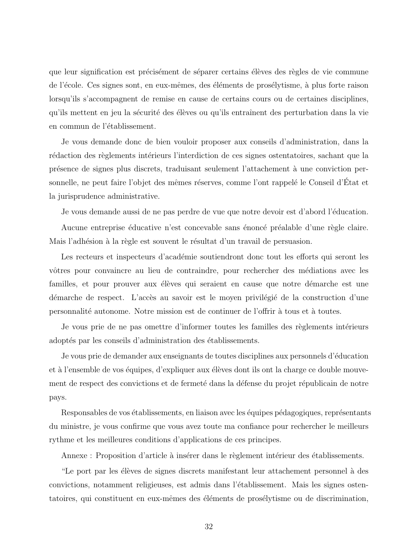que leur signification est précisément de séparer certains élèves des règles de vie commune de l'école. Ces signes sont, en eux-mêmes, des éléments de prosélytisme, à plus forte raison lorsqu'ils s'accompagnent de remise en cause de certains cours ou de certaines disciplines, qu'ils mettent en jeu la sécurité des élèves ou qu'ils entraînent des perturbation dans la vie en commun de l'établissement.

Je vous demande donc de bien vouloir proposer aux conseils d'administration, dans la rédaction des règlements intérieurs l'interdiction de ces signes ostentatoires, sachant que la pr´esence de signes plus discrets, traduisant seulement l'attachement `a une conviction personnelle, ne peut faire l'objet des mêmes réserves, comme l'ont rappelé le Conseil d'Etat et la jurisprudence administrative.

Je vous demande aussi de ne pas perdre de vue que notre devoir est d'abord l'éducation.

Aucune entreprise éducative n'est concevable sans énoncé préalable d'une règle claire. Mais l'adhésion à la règle est souvent le résultat d'un travail de persuasion.

Les recteurs et inspecteurs d'académie soutiendront donc tout les efforts qui seront les vôtres pour convaincre au lieu de contraindre, pour rechercher des médiations avec les familles, et pour prouver aux élèves qui seraient en cause que notre démarche est une démarche de respect. L'accès au savoir est le moyen privilégié de la construction d'une personnalité autonome. Notre mission est de continuer de l'offrir à tous et à toutes.

Je vous prie de ne pas omettre d'informer toutes les familles des règlements intérieurs adoptés par les conseils d'administration des établissements.

Je vous prie de demander aux enseignants de toutes disciplines aux personnels d'éducation et à l'ensemble de vos équipes, d'expliquer aux élèves dont ils ont la charge ce double mouvement de respect des convictions et de fermeté dans la défense du projet républicain de notre pays.

Responsables de vos établissements, en liaison avec les équipes pédagogiques, représentants du ministre, je vous confirme que vous avez toute ma confiance pour rechercher le meilleurs rythme et les meilleures conditions d'applications de ces principes.

Annexe : Proposition d'article à insérer dans le règlement intérieur des établissements.

"Le port par les élèves de signes discrets manifestant leur attachement personnel à des convictions, notamment religieuses, est admis dans l'établissement. Mais les signes ostentatoires, qui constituent en eux-mêmes des éléments de prosélytisme ou de discrimination,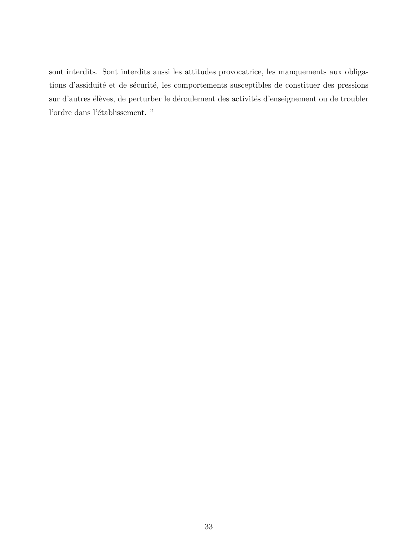sont interdits. Sont interdits aussi les attitudes provocatrice, les manquements aux obligations d'assiduité et de sécurité, les comportements susceptibles de constituer des pressions sur d'autres élèves, de perturber le déroulement des activités d'enseignement ou de troubler l'ordre dans l'établissement. "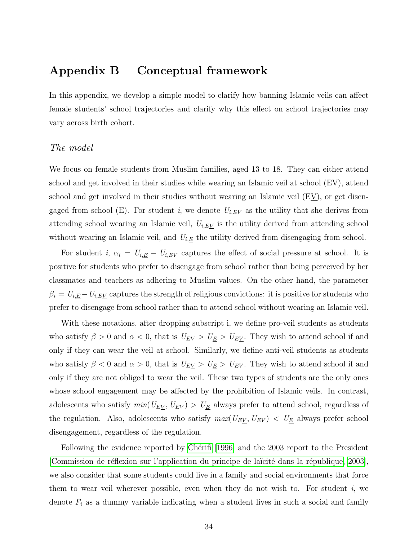### Appendix B Conceptual framework

In this appendix, we develop a simple model to clarify how banning Islamic veils can affect female students' school trajectories and clarify why this effect on school trajectories may vary across birth cohort.

#### The model

We focus on female students from Muslim families, aged 13 to 18. They can either attend school and get involved in their studies while wearing an Islamic veil at school (EV), attend school and get involved in their studies without wearing an Islamic veil  $(EV)$ , or get disengaged from school  $(\underline{E})$ . For student i, we denote  $U_{i,EV}$  as the utility that she derives from attending school wearing an Islamic veil,  $U_{i,E}\underline{V}$  is the utility derived from attending school without wearing an Islamic veil, and  $U_{i,\underline{E}}$  the utility derived from disengaging from school.

For student i,  $\alpha_i = U_{i,\underline{E}} - U_{i,\underline{E}V}$  captures the effect of social pressure at school. It is positive for students who prefer to disengage from school rather than being perceived by her classmates and teachers as adhering to Muslim values. On the other hand, the parameter  $\beta_i = U_{i,\underline{E}} - U_{i,\underline{E}V}$  captures the strength of religious convictions: it is positive for students who prefer to disengage from school rather than to attend school without wearing an Islamic veil.

With these notations, after dropping subscript i, we define pro-veil students as students who satisfy  $\beta > 0$  and  $\alpha < 0$ , that is  $U_{EV} > U_{EV}$ . They wish to attend school if and only if they can wear the veil at school. Similarly, we define anti-veil students as students who satisfy  $\beta < 0$  and  $\alpha > 0$ , that is  $U_{E\underline{V}} > U_{\underline{E}} > U_{EV}$ . They wish to attend school if and only if they are not obliged to wear the veil. These two types of students are the only ones whose school engagement may be affected by the prohibition of Islamic veils. In contrast, adolescents who satisfy  $min(U_{E\underline{V}}, U_{EV}) > U_{\underline{E}}$  always prefer to attend school, regardless of the regulation. Also, adolescents who satisfy  $max(U_{E\underline{V}}, U_{EV}) < U_{\underline{E}}$  always prefer school disengagement, regardless of the regulation.

Following the evidence reported by Chérifi [\[1996\]](#page-24-10) and the 2003 report to the President [\[Commission de r´eflexion sur l'application du principe de la¨ıcit´e dans la r´epublique, 2003\]](#page-25-7), we also consider that some students could live in a family and social environments that force them to wear veil wherever possible, even when they do not wish to. For student  $i$ , we denote  $F_i$  as a dummy variable indicating when a student lives in such a social and family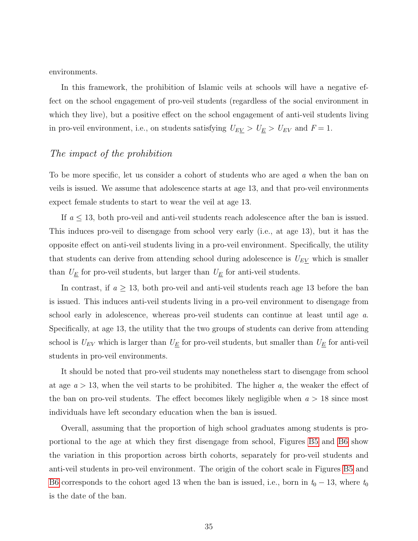environments.

In this framework, the prohibition of Islamic veils at schools will have a negative effect on the school engagement of pro-veil students (regardless of the social environment in which they live), but a positive effect on the school engagement of anti-veil students living in pro-veil environment, i.e., on students satisfying  $U_{E\underline{V}} > U_{\underline{E}} > U_{EV}$  and  $F = 1$ .

#### The impact of the prohibition

To be more specific, let us consider a cohort of students who are aged a when the ban on veils is issued. We assume that adolescence starts at age 13, and that pro-veil environments expect female students to start to wear the veil at age 13.

If  $a \leq 13$ , both pro-veil and anti-veil students reach adolescence after the ban is issued. This induces pro-veil to disengage from school very early (i.e., at age 13), but it has the opposite effect on anti-veil students living in a pro-veil environment. Specifically, the utility that students can derive from attending school during adolescence is  $U_{E\underline{V}}$  which is smaller than  $\mathit{U}_{\underline{E}}$  for pro-veil students, but larger than  $\mathit{U}_{\underline{E}}$  for anti-veil students.

In contrast, if  $a \geq 13$ , both pro-veil and anti-veil students reach age 13 before the ban is issued. This induces anti-veil students living in a pro-veil environment to disengage from school early in adolescence, whereas pro-veil students can continue at least until age a. Specifically, at age 13, the utility that the two groups of students can derive from attending school is  $U_{EV}$  which is larger than  $U_{\underline{E}}$  for pro-veil students, but smaller than  $U_{\underline{E}}$  for anti-veil students in pro-veil environments.

It should be noted that pro-veil students may nonetheless start to disengage from school at age  $a > 13$ , when the veil starts to be prohibited. The higher a, the weaker the effect of the ban on pro-veil students. The effect becomes likely negligible when  $a > 18$  since most individuals have left secondary education when the ban is issued.

Overall, assuming that the proportion of high school graduates among students is proportional to the age at which they first disengage from school, Figures [B5](#page-38-0) and [B6](#page-39-0) show the variation in this proportion across birth cohorts, separately for pro-veil students and anti-veil students in pro-veil environment. The origin of the cohort scale in Figures [B5](#page-38-0) and [B6](#page-39-0) corresponds to the cohort aged 13 when the ban is issued, i.e., born in  $t_0 - 13$ , where  $t_0$ is the date of the ban.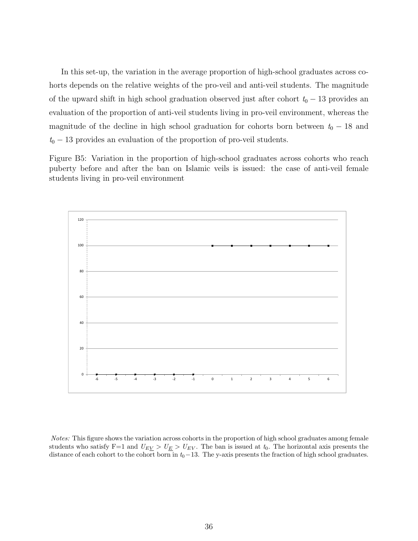In this set-up, the variation in the average proportion of high-school graduates across cohorts depends on the relative weights of the pro-veil and anti-veil students. The magnitude of the upward shift in high school graduation observed just after cohort  $t_0 - 13$  provides an evaluation of the proportion of anti-veil students living in pro-veil environment, whereas the magnitude of the decline in high school graduation for cohorts born between  $t_0 - 18$  and  $t_0$  − 13 provides an evaluation of the proportion of pro-veil students.

Figure B5: Variation in the proportion of high-school graduates across cohorts who reach puberty before and after the ban on Islamic veils is issued: the case of anti-veil female students living in pro-veil environment

<span id="page-38-0"></span>

Notes: This figure shows the variation across cohorts in the proportion of high school graduates among female students who satisfy F=1 and  $U_{E\underline{V}} > U_{\underline{E}} > U_{EV}$ . The ban is issued at  $t_0$ . The horizontal axis presents the distance of each cohort to the cohort born in  $t_0-13$ . The y-axis presents the fraction of high school graduates.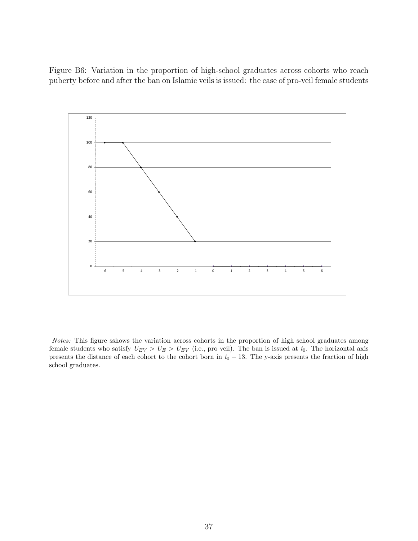Figure B6: Variation in the proportion of high-school graduates across cohorts who reach puberty before and after the ban on Islamic veils is issued: the case of pro-veil female students

<span id="page-39-0"></span>

Notes: This figure sshows the variation across cohorts in the proportion of high school graduates among female students who satisfy  $U_{EV} > U_{E} > U_{EV}$  (i.e., pro veil). The ban is issued at  $t_0$ . The horizontal axis presents the distance of each cohort to the cohort born in  $t_0 - 13$ . The y-axis presents the fraction of high school graduates.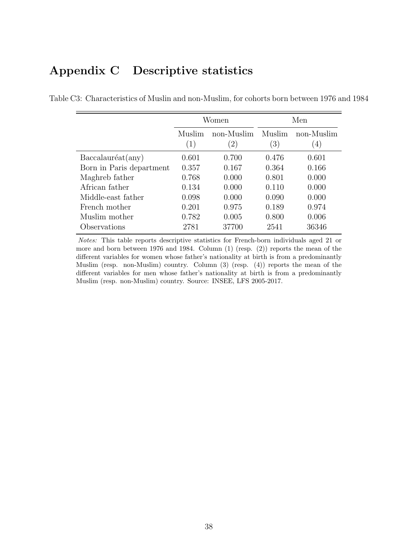## Appendix C Descriptive statistics

|                                     |               | Women                           | Men                         |                            |  |
|-------------------------------------|---------------|---------------------------------|-----------------------------|----------------------------|--|
|                                     | Muslim<br>(1) | non-Muslim<br>$\left( 2\right)$ | Muslim.<br>$\left(3\right)$ | non-Muslim<br><sup>4</sup> |  |
| $\text{Baccalaur\'e}at(\text{any})$ | 0.601         | 0.700                           | 0.476                       | 0.601                      |  |
| Born in Paris department            | 0.357         | 0.167                           | 0.364                       | 0.166                      |  |
| Maghreb father                      | 0.768         | 0.000                           | 0.801                       | 0.000                      |  |
| African father                      | 0.134         | 0.000                           | 0.110                       | 0.000                      |  |
| Middle-east father                  | 0.098         | 0.000                           | 0.090                       | 0.000                      |  |
| French mother                       | 0.201         | 0.975                           | 0.189                       | 0.974                      |  |
| Muslim mother                       | 0.782         | 0.005                           | 0.800                       | 0.006                      |  |
| Observations                        | 2781          | 37700                           | 2541                        | 36346                      |  |

<span id="page-40-0"></span>Table C3: Characteristics of Muslin and non-Muslim, for cohorts born between 1976 and 1984

Notes: This table reports descriptive statistics for French-born individuals aged 21 or more and born between 1976 and 1984. Column (1) (resp. (2)) reports the mean of the different variables for women whose father's nationality at birth is from a predominantly Muslim (resp. non-Muslim) country. Column (3) (resp. (4)) reports the mean of the different variables for men whose father's nationality at birth is from a predominantly Muslim (resp. non-Muslim) country. Source: INSEE, LFS 2005-2017.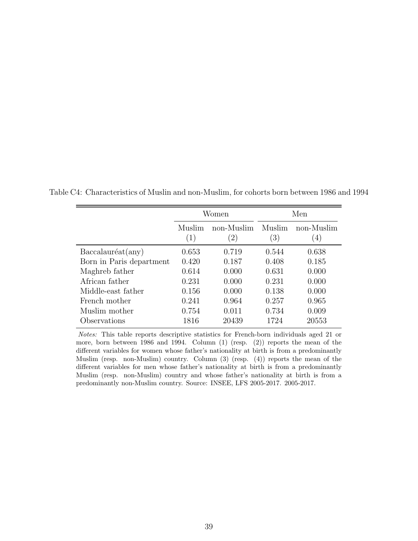|                                     |               | Women                           | Men                         |                                |  |
|-------------------------------------|---------------|---------------------------------|-----------------------------|--------------------------------|--|
|                                     | Muslim<br>(1) | non-Muslim<br>$\left( 2\right)$ | Muslim.<br>$\left(3\right)$ | non-Muslim<br>$\left(4\right)$ |  |
| $\text{Baccalaur\'e}at(\text{any})$ | 0.653         | 0.719                           | 0.544                       | 0.638                          |  |
| Born in Paris department            | 0.420         | 0.187                           | 0.408                       | 0.185                          |  |
| Maghreb father                      | 0.614         | 0.000                           | 0.631                       | 0.000                          |  |
| African father                      | 0.231         | 0.000                           | 0.231                       | 0.000                          |  |
| Middle-east father                  | 0.156         | 0.000                           | 0.138                       | 0.000                          |  |
| French mother                       | 0.241         | 0.964                           | 0.257                       | 0.965                          |  |
| Muslim mother                       | 0.754         | 0.011                           | 0.734                       | 0.009                          |  |
| Observations                        | 1816          | 20439                           | 1724                        | 20553                          |  |

<span id="page-41-0"></span>Table C4: Characteristics of Muslin and non-Muslim, for cohorts born between 1986 and 1994

Notes: This table reports descriptive statistics for French-born individuals aged 21 or more, born between 1986 and 1994. Column (1) (resp. (2)) reports the mean of the different variables for women whose father's nationality at birth is from a predominantly Muslim (resp. non-Muslim) country. Column (3) (resp. (4)) reports the mean of the different variables for men whose father's nationality at birth is from a predominantly Muslim (resp. non-Muslim) country and whose father's nationality at birth is from a predominantly non-Muslim country. Source: INSEE, LFS 2005-2017. 2005-2017.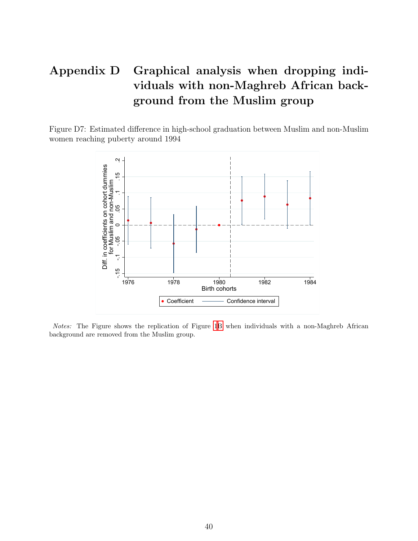## Appendix D Graphical analysis when dropping individuals with non-Maghreb African background from the Muslim group

<span id="page-42-0"></span>Figure D7: Estimated difference in high-school graduation between Muslim and non-Muslim women reaching puberty around 1994



Notes: The Figure shows the replication of Figure [1B](#page-29-0) when individuals with a non-Maghreb African background are removed from the Muslim group.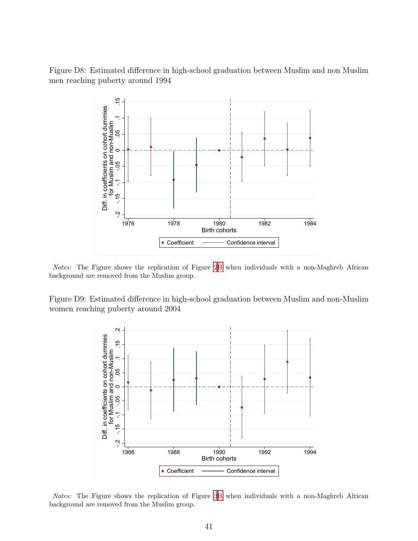<span id="page-43-0"></span>Figure D8: Estimated difference in high-school graduation between Muslim and non Muslim men reaching puberty around 1994



Notes: The Figure shows the replication of Figure [2B](#page-30-0) when individuals with a non-Maghreb African background are removed from the Muslim group.

<span id="page-43-1"></span>Figure D9: Estimated difference in high-school graduation between Muslim and non-Muslim women reaching puberty around 2004



Notes: The Figure shows the replication of Figure [3B](#page-31-0) when individuals with a non-Maghreb African background are removed from the Muslim group.